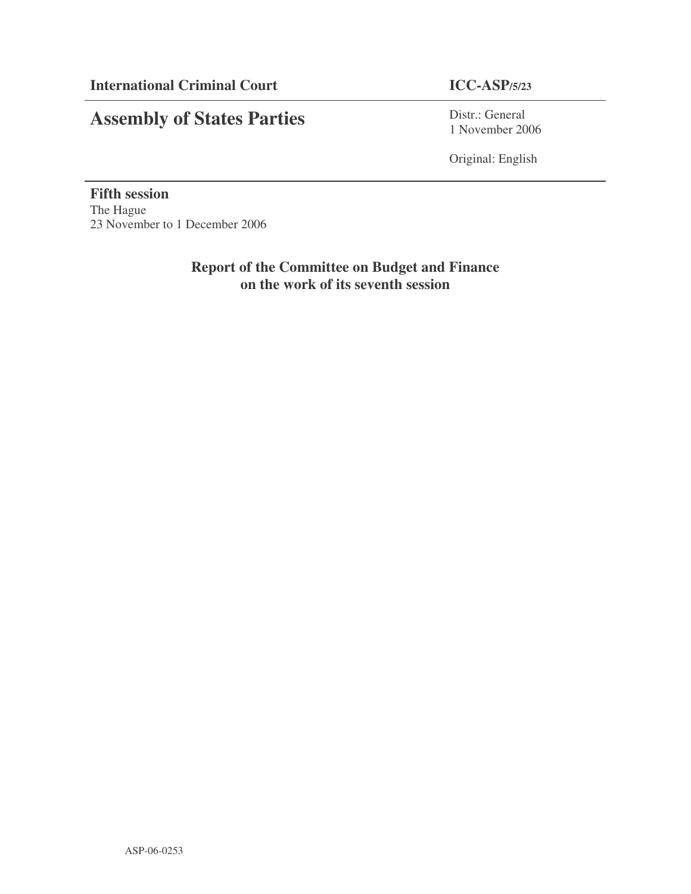# **Assembly of States Parties**

Distr.: General 1 November 2006

Original: English

**Fifth session** The Hague 23 November to 1 December 2006

> **Report of the Committee on Budget and Finance on the work of its seventh session**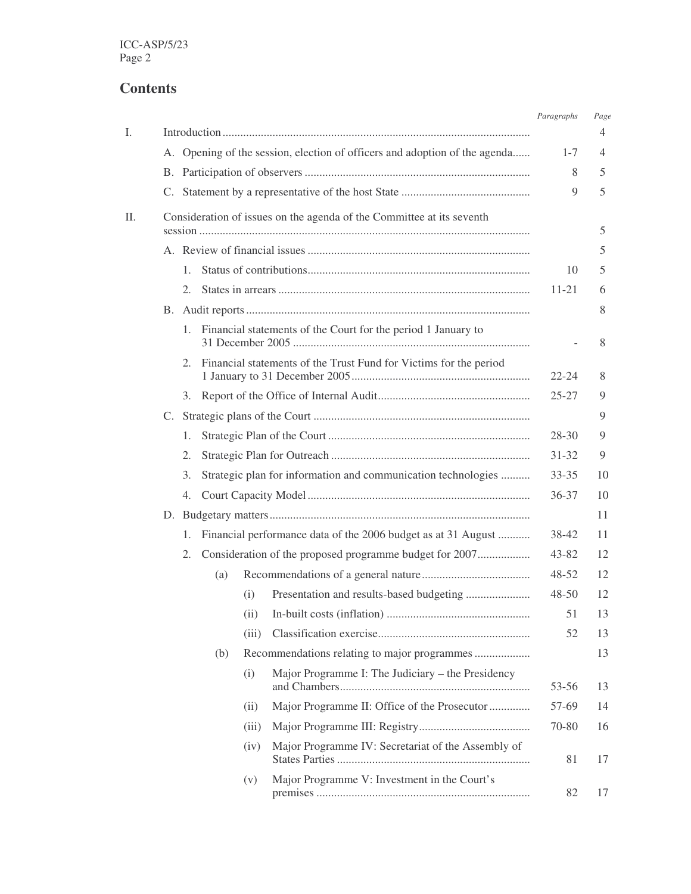# **Contents**

| I. |                                                                       |         |     |       |                                                                            | Paragraphs | Page<br>4 |
|----|-----------------------------------------------------------------------|---------|-----|-------|----------------------------------------------------------------------------|------------|-----------|
|    |                                                                       |         |     |       | A. Opening of the session, election of officers and adoption of the agenda | $1 - 7$    | 4         |
|    |                                                                       |         |     |       |                                                                            | 8          | 5         |
|    |                                                                       |         |     |       |                                                                            | 9          | 5         |
| Π. | Consideration of issues on the agenda of the Committee at its seventh |         | 5   |       |                                                                            |            |           |
|    |                                                                       |         |     |       | 5                                                                          |            |           |
|    |                                                                       | 1.      |     |       |                                                                            | 10         | 5         |
|    |                                                                       | 2.      |     |       |                                                                            | $11 - 21$  | 6         |
|    |                                                                       |         |     |       | 8                                                                          |            |           |
|    |                                                                       | 1.      |     |       | Financial statements of the Court for the period 1 January to              |            | 8         |
|    |                                                                       | $2_{-}$ |     |       | Financial statements of the Trust Fund for Victims for the period          | $22 - 24$  | 8         |
|    |                                                                       | 3.      |     |       |                                                                            | $25 - 27$  | 9         |
|    |                                                                       |         |     |       |                                                                            |            | 9         |
|    |                                                                       | 1.      |     |       |                                                                            | $28 - 30$  | 9         |
|    |                                                                       | 2.      |     |       |                                                                            | $31 - 32$  | 9         |
|    |                                                                       | 3.      |     |       | Strategic plan for information and communication technologies              | $33 - 35$  | 10        |
|    |                                                                       | 4.      |     |       |                                                                            | $36 - 37$  | 10        |
|    |                                                                       |         |     |       |                                                                            |            | 11        |
|    |                                                                       | 1.      |     |       | Financial performance data of the 2006 budget as at 31 August              | 38-42      | 11        |
|    |                                                                       | 2.      |     |       | Consideration of the proposed programme budget for 2007                    | $43 - 82$  | 12        |
|    |                                                                       |         | (a) |       |                                                                            | 48-52      | 12        |
|    |                                                                       |         |     | (i)   |                                                                            | $48 - 50$  | 12        |
|    |                                                                       |         |     |       |                                                                            | 51         | 13        |
|    |                                                                       |         |     | (iii) |                                                                            | 52         | 13        |
|    |                                                                       |         | (b) |       | Recommendations relating to major programmes                               |            | 13        |
|    |                                                                       |         |     | (i)   | Major Programme I: The Judiciary – the Presidency                          | 53-56      | 13        |
|    |                                                                       |         |     | (ii)  | Major Programme II: Office of the Prosecutor                               | 57-69      | 14        |
|    |                                                                       |         |     | (iii) |                                                                            | 70-80      | 16        |
|    |                                                                       |         |     | (iv)  | Major Programme IV: Secretariat of the Assembly of                         | 81         | 17        |
|    |                                                                       |         |     | (v)   | Major Programme V: Investment in the Court's                               | 82         | 17        |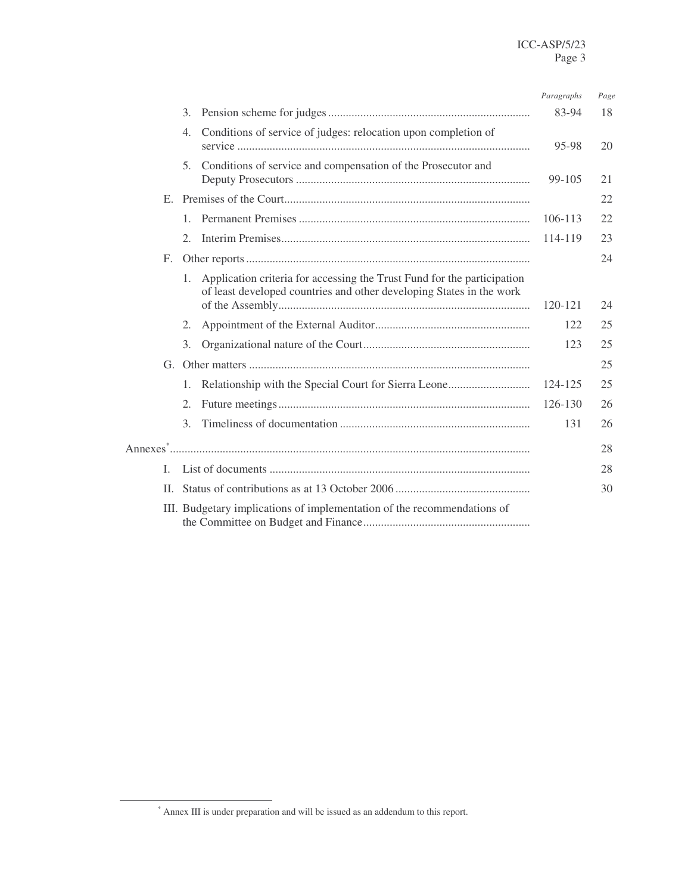|    |                                                                                                                                                                | Paragraphs | Page |  |  |  |
|----|----------------------------------------------------------------------------------------------------------------------------------------------------------------|------------|------|--|--|--|
|    | 3.                                                                                                                                                             | 83-94      | 18   |  |  |  |
|    | Conditions of service of judges: relocation upon completion of<br>4.                                                                                           | 95-98      | 20   |  |  |  |
|    | Conditions of service and compensation of the Prosecutor and<br>5 <sub>1</sub>                                                                                 | 99-105     | 21   |  |  |  |
|    |                                                                                                                                                                |            | 22   |  |  |  |
|    |                                                                                                                                                                | 106-113    | 22   |  |  |  |
|    | 2.                                                                                                                                                             | 114-119    | 23   |  |  |  |
| F. |                                                                                                                                                                |            | 24   |  |  |  |
|    | Application criteria for accessing the Trust Fund for the participation<br>$1_{\cdot}$<br>of least developed countries and other developing States in the work |            |      |  |  |  |
|    |                                                                                                                                                                | 120-121    | 24   |  |  |  |
|    | 2.                                                                                                                                                             | 122        | 25   |  |  |  |
|    | 3.                                                                                                                                                             | 123        | 25   |  |  |  |
|    |                                                                                                                                                                |            | 25   |  |  |  |
|    | 1.                                                                                                                                                             | 124-125    | 25   |  |  |  |
|    | 2.                                                                                                                                                             | 126-130    | 26   |  |  |  |
|    | 3.                                                                                                                                                             | 131        | 26   |  |  |  |
|    |                                                                                                                                                                |            | 28   |  |  |  |
| L. |                                                                                                                                                                |            | 28   |  |  |  |
| H. |                                                                                                                                                                |            | 30   |  |  |  |
|    | III. Budgetary implications of implementation of the recommendations of                                                                                        |            |      |  |  |  |

<sup>\*</sup> Annex III is under preparation and will be issued as an addendum to this report.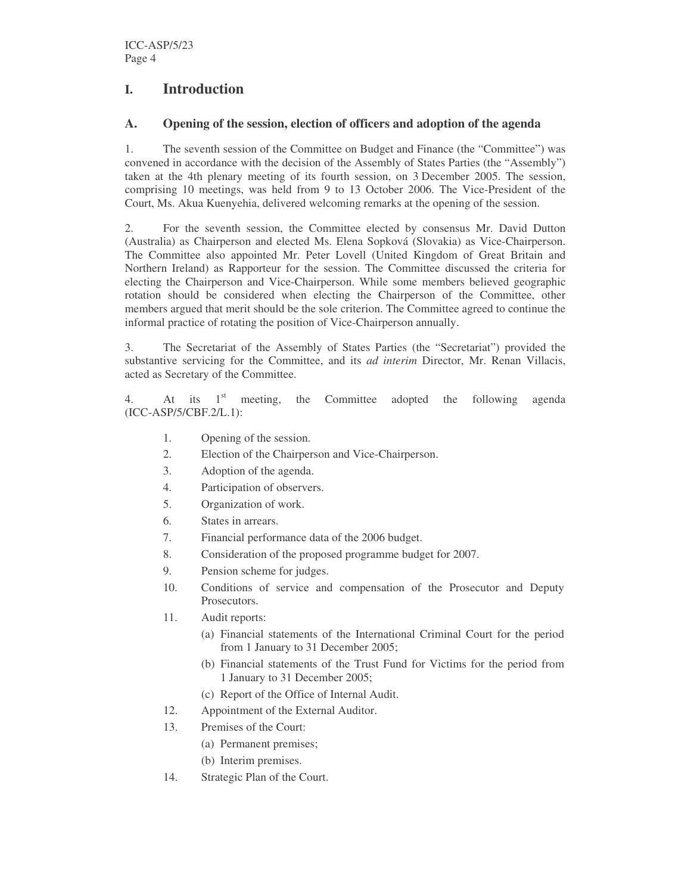# **I. Introduction**

# **A. Opening of the session, election of officers and adoption of the agenda**

1. The seventh session of the Committee on Budget and Finance (the "Committee") was convened in accordance with the decision of the Assembly of States Parties (the "Assembly") taken at the 4th plenary meeting of its fourth session, on 3 December 2005. The session, comprising 10 meetings, was held from 9 to 13 October 2006. The Vice-President of the Court, Ms. Akua Kuenyehia, delivered welcoming remarks at the opening of the session.

2. For the seventh session, the Committee elected by consensus Mr. David Dutton (Australia) as Chairperson and elected Ms. Elena Sopková (Slovakia) as Vice-Chairperson. The Committee also appointed Mr. Peter Lovell (United Kingdom of Great Britain and Northern Ireland) as Rapporteur for the session. The Committee discussed the criteria for electing the Chairperson and Vice-Chairperson. While some members believed geographic rotation should be considered when electing the Chairperson of the Committee, other members argued that merit should be the sole criterion. The Committee agreed to continue the informal practice of rotating the position of Vice-Chairperson annually.

3. The Secretariat of the Assembly of States Parties (the "Secretariat") provided the substantive servicing for the Committee, and its *ad interim* Director, Mr. Renan Villacis, acted as Secretary of the Committee.

4. At its 1<sup>st</sup> meeting, the Committee adopted the following agenda (ICC-ASP/5/CBF.2/L.1):

- 1. Opening of the session.
- 2. Election of the Chairperson and Vice-Chairperson.
- 3. Adoption of the agenda.
- 4. Participation of observers.
- 5. Organization of work.
- 6. States in arrears.
- 7. Financial performance data of the 2006 budget.
- 8. Consideration of the proposed programme budget for 2007.
- 9. Pension scheme for judges.
- 10. Conditions of service and compensation of the Prosecutor and Deputy Prosecutors.
- 11. Audit reports:
	- (a) Financial statements of the International Criminal Court for the period from 1 January to 31 December 2005;
	- (b) Financial statements of the Trust Fund for Victims for the period from 1 January to 31 December 2005;
	- (c) Report of the Office of Internal Audit.
- 12. Appointment of the External Auditor.
- 13. Premises of the Court:
	- (a) Permanent premises;
	- (b) Interim premises.
- 14. Strategic Plan of the Court.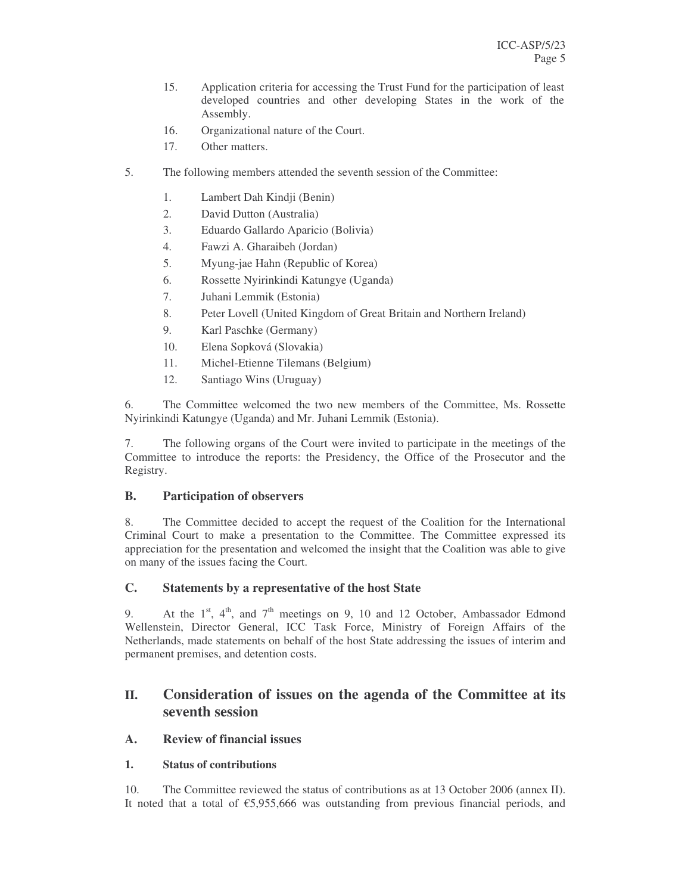- 15. Application criteria for accessing the Trust Fund for the participation of least developed countries and other developing States in the work of the Assembly.
- 16. Organizational nature of the Court.
- 17. Other matters.
- 5. The following members attended the seventh session of the Committee:
	- 1. Lambert Dah Kindji (Benin)
	- 2. David Dutton (Australia)
	- 3. Eduardo Gallardo Aparicio (Bolivia)
	- 4. Fawzi A. Gharaibeh (Jordan)
	- 5. Myung-jae Hahn (Republic of Korea)
	- 6. Rossette Nyirinkindi Katungye (Uganda)
	- 7. Juhani Lemmik (Estonia)
	- 8. Peter Lovell (United Kingdom of Great Britain and Northern Ireland)
	- 9. Karl Paschke (Germany)
	- 10. Elena Sopková (Slovakia)
	- 11. Michel-Etienne Tilemans (Belgium)
	- 12. Santiago Wins (Uruguay)

6. The Committee welcomed the two new members of the Committee, Ms. Rossette Nyirinkindi Katungye (Uganda) and Mr. Juhani Lemmik (Estonia).

7. The following organs of the Court were invited to participate in the meetings of the Committee to introduce the reports: the Presidency, the Office of the Prosecutor and the Registry.

# **B. Participation of observers**

8. The Committee decided to accept the request of the Coalition for the International Criminal Court to make a presentation to the Committee. The Committee expressed its appreciation for the presentation and welcomed the insight that the Coalition was able to give on many of the issues facing the Court.

# **C. Statements by a representative of the host State**

9. At the  $1<sup>st</sup>$ ,  $4<sup>th</sup>$ , and  $7<sup>th</sup>$  meetings on 9, 10 and 12 October, Ambassador Edmond Wellenstein, Director General, ICC Task Force, Ministry of Foreign Affairs of the Netherlands, made statements on behalf of the host State addressing the issues of interim and permanent premises, and detention costs.

# **II. Consideration of issues on the agenda of the Committee at its seventh session**

# **A. Review of financial issues**

# **1. Status of contributions**

10. The Committee reviewed the status of contributions as at 13 October 2006 (annex II). It noted that a total of  $\epsilon$ 5,955,666 was outstanding from previous financial periods, and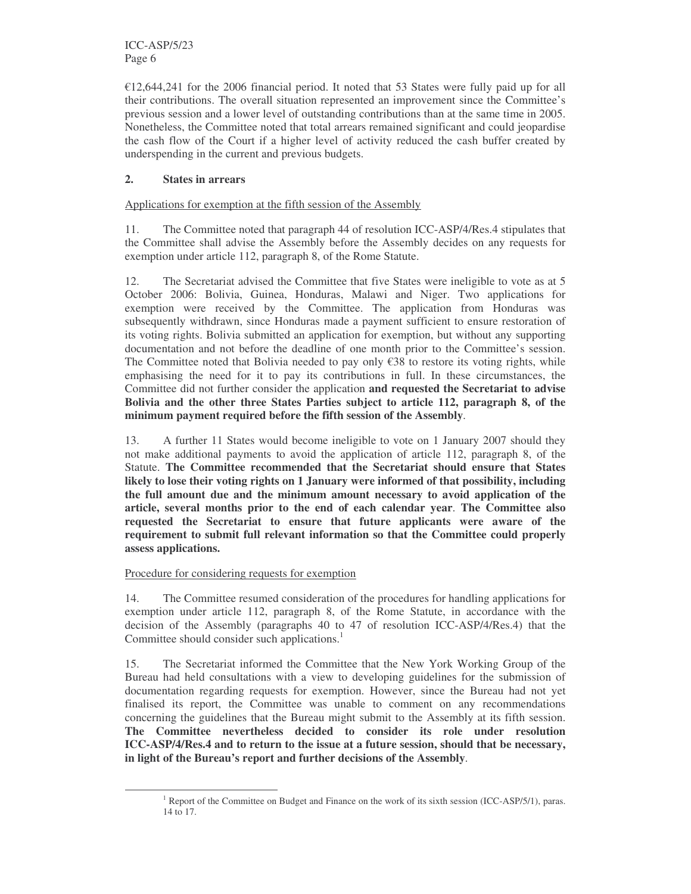ICC-ASP/5/23 Page 6

 $\epsilon$ 12,644,241 for the 2006 financial period. It noted that 53 States were fully paid up for all their contributions. The overall situation represented an improvement since the Committee's previous session and a lower level of outstanding contributions than at the same time in 2005. Nonetheless, the Committee noted that total arrears remained significant and could jeopardise the cash flow of the Court if a higher level of activity reduced the cash buffer created by underspending in the current and previous budgets.

# **2. States in arrears**

Applications for exemption at the fifth session of the Assembly

11. The Committee noted that paragraph 44 of resolution ICC-ASP/4/Res.4 stipulates that the Committee shall advise the Assembly before the Assembly decides on any requests for exemption under article 112, paragraph 8, of the Rome Statute.

12. The Secretariat advised the Committee that five States were ineligible to vote as at 5 October 2006: Bolivia, Guinea, Honduras, Malawi and Niger. Two applications for exemption were received by the Committee. The application from Honduras was subsequently withdrawn, since Honduras made a payment sufficient to ensure restoration of its voting rights. Bolivia submitted an application for exemption, but without any supporting documentation and not before the deadline of one month prior to the Committee's session. The Committee noted that Bolivia needed to pay only  $\epsilon$ 38 to restore its voting rights, while emphasising the need for it to pay its contributions in full. In these circumstances, the Committee did not further consider the application **and requested the Secretariat to advise Bolivia and the other three States Parties subject to article 112, paragraph 8, of the minimum payment required before the fifth session of the Assembly**.

13. A further 11 States would become ineligible to vote on 1 January 2007 should they not make additional payments to avoid the application of article 112, paragraph 8, of the Statute. **The Committee recommended that the Secretariat should ensure that States likely to lose their voting rights on 1 January were informed of that possibility, including the full amount due and the minimum amount necessary to avoid application of the article, several months prior to the end of each calendar year**. **The Committee also requested the Secretariat to ensure that future applicants were aware of the requirement to submit full relevant information so that the Committee could properly assess applications.**

#### Procedure for considering requests for exemption

14. The Committee resumed consideration of the procedures for handling applications for exemption under article 112, paragraph 8, of the Rome Statute, in accordance with the decision of the Assembly (paragraphs 40 to 47 of resolution ICC-ASP/4/Res.4) that the Committee should consider such applications. 1

15. The Secretariat informed the Committee that the New York Working Group of the Bureau had held consultations with a view to developing guidelines for the submission of documentation regarding requests for exemption. However, since the Bureau had not yet finalised its report, the Committee was unable to comment on any recommendations concerning the guidelines that the Bureau might submit to the Assembly at its fifth session. **The Committee nevertheless decided to consider its role under resolution ICC-ASP/4/Res.4 and to return to the issue at a future session, should that be necessary, in light of the Bureau's report and further decisions of the Assembly**.

<sup>&</sup>lt;sup>1</sup> Report of the Committee on Budget and Finance on the work of its sixth session (ICC-ASP/5/1), paras. 14 to 17.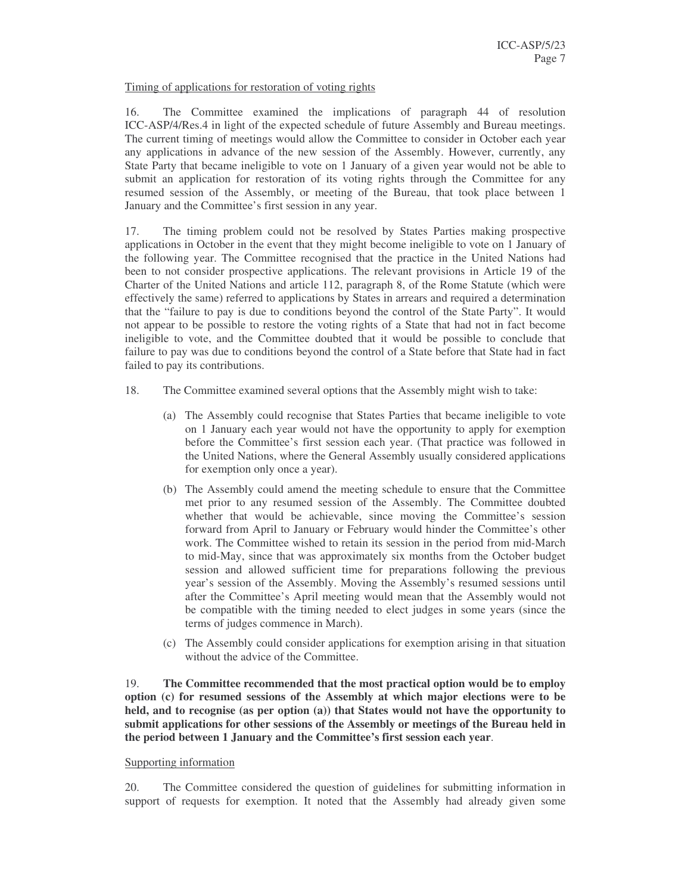#### Timing of applications for restoration of voting rights

16. The Committee examined the implications of paragraph 44 of resolution ICC-ASP/4/Res.4 in light of the expected schedule of future Assembly and Bureau meetings. The current timing of meetings would allow the Committee to consider in October each year any applications in advance of the new session of the Assembly. However, currently, any State Party that became ineligible to vote on 1 January of a given year would not be able to submit an application for restoration of its voting rights through the Committee for any resumed session of the Assembly, or meeting of the Bureau, that took place between 1 January and the Committee's first session in any year.

17. The timing problem could not be resolved by States Parties making prospective applications in October in the event that they might become ineligible to vote on 1 January of the following year. The Committee recognised that the practice in the United Nations had been to not consider prospective applications. The relevant provisions in Article 19 of the Charter of the United Nations and article 112, paragraph 8, of the Rome Statute (which were effectively the same) referred to applications by States in arrears and required a determination that the "failure to pay is due to conditions beyond the control of the State Party". It would not appear to be possible to restore the voting rights of a State that had not in fact become ineligible to vote, and the Committee doubted that it would be possible to conclude that failure to pay was due to conditions beyond the control of a State before that State had in fact failed to pay its contributions.

- 18. The Committee examined several options that the Assembly might wish to take:
	- (a) The Assembly could recognise that States Parties that became ineligible to vote on 1 January each year would not have the opportunity to apply for exemption before the Committee's first session each year. (That practice was followed in the United Nations, where the General Assembly usually considered applications for exemption only once a year).
	- (b) The Assembly could amend the meeting schedule to ensure that the Committee met prior to any resumed session of the Assembly. The Committee doubted whether that would be achievable, since moving the Committee's session forward from April to January or February would hinder the Committee's other work. The Committee wished to retain its session in the period from mid-March to mid-May, since that was approximately six months from the October budget session and allowed sufficient time for preparations following the previous year's session of the Assembly. Moving the Assembly's resumed sessions until after the Committee's April meeting would mean that the Assembly would not be compatible with the timing needed to elect judges in some years (since the terms of judges commence in March).
	- (c) The Assembly could consider applications for exemption arising in that situation without the advice of the Committee.

19. **The Committee recommended that the most practical option would be to employ option (c) for resumed sessions of the Assembly at which major elections were to be held, and to recognise (as per option (a)) that States would not have the opportunity to submit applications for other sessions of the Assembly or meetings of the Bureau held in the period between 1 January and the Committee's first session each year**.

#### Supporting information

20. The Committee considered the question of guidelines for submitting information in support of requests for exemption. It noted that the Assembly had already given some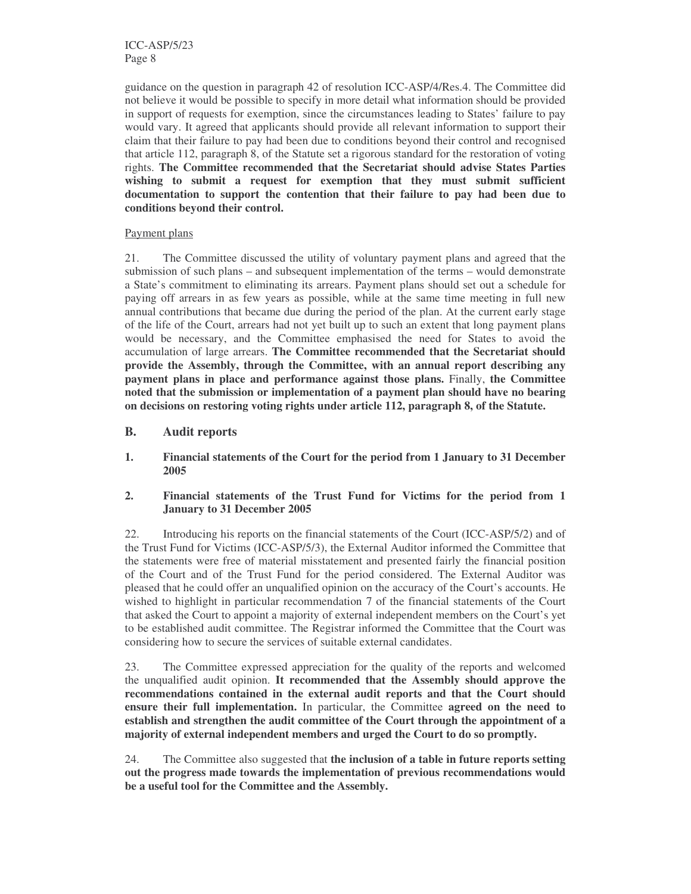ICC-ASP/5/23 Page 8

guidance on the question in paragraph 42 of resolution ICC-ASP/4/Res.4. The Committee did not believe it would be possible to specify in more detail what information should be provided in support of requests for exemption, since the circumstances leading to States' failure to pay would vary. It agreed that applicants should provide all relevant information to support their claim that their failure to pay had been due to conditions beyond their control and recognised that article 112, paragraph 8, of the Statute set a rigorous standard for the restoration of voting rights. **The Committee recommended that the Secretariat should advise States Parties wishing to submit a request for exemption that they must submit sufficient documentation to support the contention that their failure to pay had been due to conditions beyond their control.**

#### Payment plans

21. The Committee discussed the utility of voluntary payment plans and agreed that the submission of such plans – and subsequent implementation of the terms – would demonstrate a State's commitment to eliminating its arrears. Payment plans should set out a schedule for paying off arrears in as few years as possible, while at the same time meeting in full new annual contributions that became due during the period of the plan. At the current early stage of the life of the Court, arrears had not yet built up to such an extent that long payment plans would be necessary, and the Committee emphasised the need for States to avoid the accumulation of large arrears. **The Committee recommended that the Secretariat should provide the Assembly, through the Committee, with an annual report describing any payment plans in place and performance against those plans.** Finally, **the Committee noted that the submission or implementation of a payment plan should have no bearing on decisions on restoring voting rights under article 112, paragraph 8, of the Statute.**

- **B. Audit reports**
- **1. Financial statements of the Court for the period from 1 January to 31 December 2005**
- **2. Financial statements of the Trust Fund for Victims for the period from 1 January to 31 December 2005**

22. Introducing his reports on the financial statements of the Court (ICC-ASP/5/2) and of the Trust Fund for Victims (ICC-ASP/5/3), the External Auditor informed the Committee that the statements were free of material misstatement and presented fairly the financial position of the Court and of the Trust Fund for the period considered. The External Auditor was pleased that he could offer an unqualified opinion on the accuracy of the Court's accounts. He wished to highlight in particular recommendation 7 of the financial statements of the Court that asked the Court to appoint a majority of external independent members on the Court's yet to be established audit committee. The Registrar informed the Committee that the Court was considering how to secure the services of suitable external candidates.

23. The Committee expressed appreciation for the quality of the reports and welcomed the unqualified audit opinion. **It recommended that the Assembly should approve the recommendations contained in the external audit reports and that the Court should ensure their full implementation.** In particular, the Committee **agreed on the need to establish and strengthen the audit committee of the Court through the appointment of a majority of external independent members and urged the Court to do so promptly.**

24. The Committee also suggested that **the inclusion of a table in future reports setting out the progress made towards the implementation of previous recommendations would be a useful tool for the Committee and the Assembly.**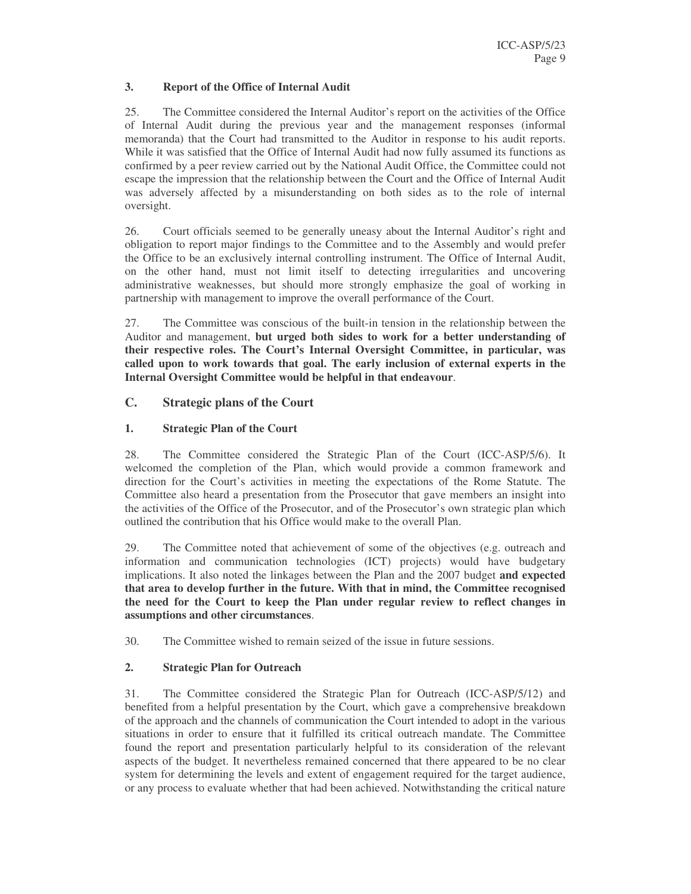### **3. Report of the Office of Internal Audit**

25. The Committee considered the Internal Auditor's report on the activities of the Office of Internal Audit during the previous year and the management responses (informal memoranda) that the Court had transmitted to the Auditor in response to his audit reports. While it was satisfied that the Office of Internal Audit had now fully assumed its functions as confirmed by a peer review carried out by the National Audit Office, the Committee could not escape the impression that the relationship between the Court and the Office of Internal Audit was adversely affected by a misunderstanding on both sides as to the role of internal oversight.

26. Court officials seemed to be generally uneasy about the Internal Auditor's right and obligation to report major findings to the Committee and to the Assembly and would prefer the Office to be an exclusively internal controlling instrument. The Office of Internal Audit, on the other hand, must not limit itself to detecting irregularities and uncovering administrative weaknesses, but should more strongly emphasize the goal of working in partnership with management to improve the overall performance of the Court.

27. The Committee was conscious of the built-in tension in the relationship between the Auditor and management, **but urged both sides to work for a better understanding of their respective roles. The Court's Internal Oversight Committee, in particular, was called upon to work towards that goal. The early inclusion of external experts in the Internal Oversight Committee would be helpful in that endeavour**.

# **C. Strategic plans of the Court**

### **1. Strategic Plan of the Court**

28. The Committee considered the Strategic Plan of the Court (ICC-ASP/5/6). It welcomed the completion of the Plan, which would provide a common framework and direction for the Court's activities in meeting the expectations of the Rome Statute. The Committee also heard a presentation from the Prosecutor that gave members an insight into the activities of the Office of the Prosecutor, and of the Prosecutor's own strategic plan which outlined the contribution that his Office would make to the overall Plan.

29. The Committee noted that achievement of some of the objectives (e.g. outreach and information and communication technologies (ICT) projects) would have budgetary implications. It also noted the linkages between the Plan and the 2007 budget **and expected that area to develop further in the future. With that in mind, the Committee recognised the need for the Court to keep the Plan under regular review to reflect changes in assumptions and other circumstances**.

30. The Committee wished to remain seized of the issue in future sessions.

# **2. Strategic Plan for Outreach**

31. The Committee considered the Strategic Plan for Outreach (ICC-ASP/5/12) and benefited from a helpful presentation by the Court, which gave a comprehensive breakdown of the approach and the channels of communication the Court intended to adopt in the various situations in order to ensure that it fulfilled its critical outreach mandate. The Committee found the report and presentation particularly helpful to its consideration of the relevant aspects of the budget. It nevertheless remained concerned that there appeared to be no clear system for determining the levels and extent of engagement required for the target audience, or any process to evaluate whether that had been achieved. Notwithstanding the critical nature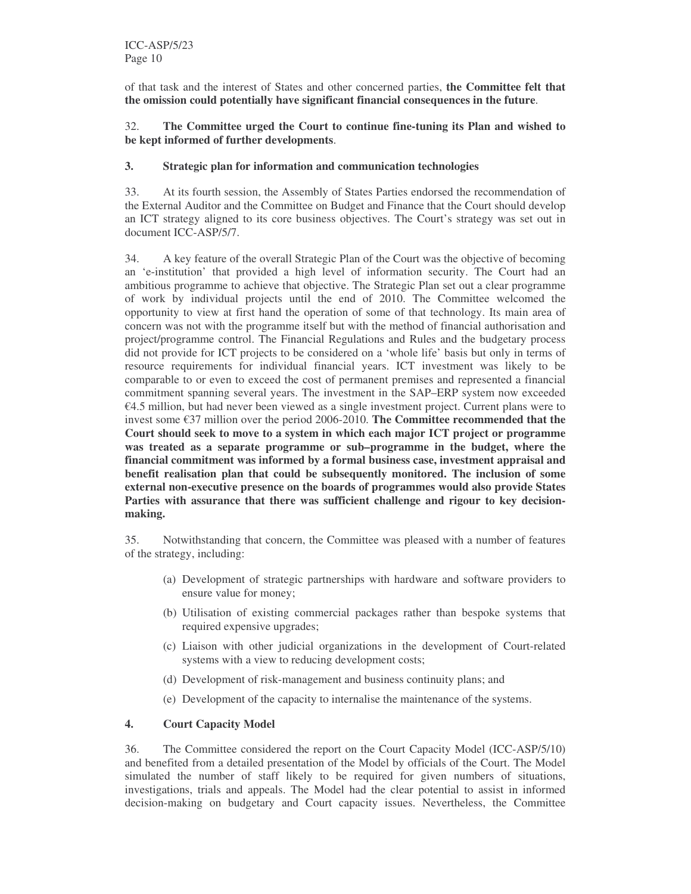of that task and the interest of States and other concerned parties, **the Committee felt that the omission could potentially have significant financial consequences in the future**.

32. **The Committee urged the Court to continue fine-tuning its Plan and wished to be kept informed of further developments**.

### **3. Strategic plan for information and communication technologies**

33. At its fourth session, the Assembly of States Parties endorsed the recommendation of the External Auditor and the Committee on Budget and Finance that the Court should develop an ICT strategy aligned to its core business objectives. The Court's strategy was set out in document ICC-ASP/5/7.

34. A key feature of the overall Strategic Plan of the Court was the objective of becoming an 'e-institution' that provided a high level of information security. The Court had an ambitious programme to achieve that objective. The Strategic Plan set out a clear programme of work by individual projects until the end of 2010. The Committee welcomed the opportunity to view at first hand the operation of some of that technology. Its main area of concern was not with the programme itself but with the method of financial authorisation and project/programme control. The Financial Regulations and Rules and the budgetary process did not provide for ICT projects to be considered on a 'whole life' basis but only in terms of resource requirements for individual financial years. ICT investment was likely to be comparable to or even to exceed the cost of permanent premises and represented a financial commitment spanning several years. The investment in the SAP–ERP system now exceeded  $€4.5$  million, but had never been viewed as a single investment project. Current plans were to invest some €37 million over the period 2006-2010. **The Committee recommended that the Court should seek to move to a system in which each major ICT project or programme was treated as a separate programme or sub–programme in the budget, where the financial commitment was informed by a formal business case, investment appraisal and benefit realisation plan that could be subsequently monitored. The inclusion of some external non-executive presence on the boards of programmes would also provide States Parties with assurance that there was sufficient challenge and rigour to key decisionmaking.**

35. Notwithstanding that concern, the Committee was pleased with a number of features of the strategy, including:

- (a) Development of strategic partnerships with hardware and software providers to ensure value for money;
- (b) Utilisation of existing commercial packages rather than bespoke systems that required expensive upgrades;
- (c) Liaison with other judicial organizations in the development of Court-related systems with a view to reducing development costs;
- (d) Development of risk-management and business continuity plans; and
- (e) Development of the capacity to internalise the maintenance of the systems.

# **4. Court Capacity Model**

36. The Committee considered the report on the Court Capacity Model (ICC-ASP/5/10) and benefited from a detailed presentation of the Model by officials of the Court. The Model simulated the number of staff likely to be required for given numbers of situations, investigations, trials and appeals. The Model had the clear potential to assist in informed decision-making on budgetary and Court capacity issues. Nevertheless, the Committee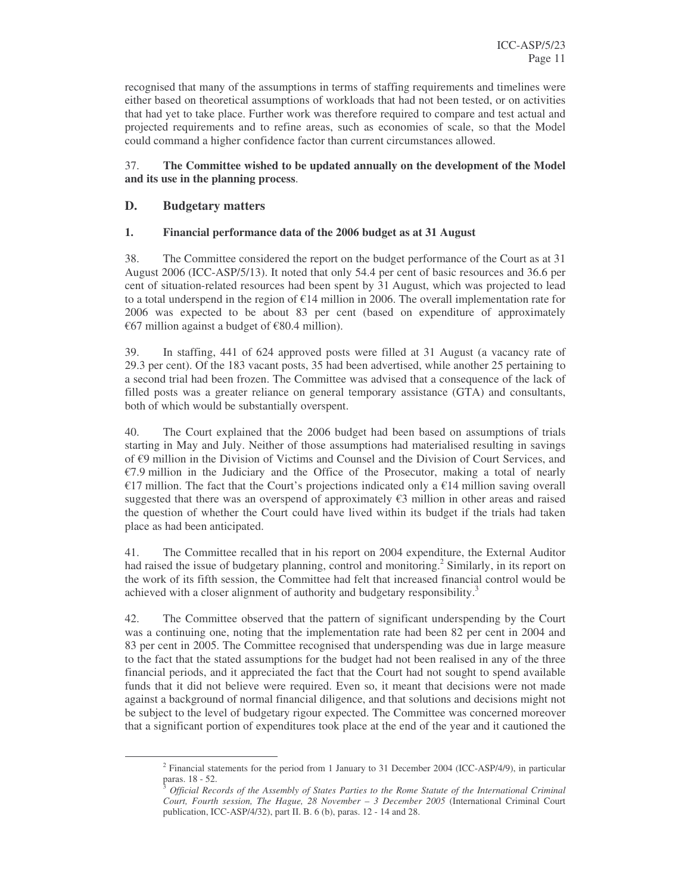recognised that many of the assumptions in terms of staffing requirements and timelines were either based on theoretical assumptions of workloads that had not been tested, or on activities that had yet to take place. Further work was therefore required to compare and test actual and projected requirements and to refine areas, such as economies of scale, so that the Model could command a higher confidence factor than current circumstances allowed.

### 37. **The Committee wished to be updated annually on the development of the Model and its use in the planning process**.

# **D. Budgetary matters**

### **1. Financial performance data of the 2006 budget as at 31 August**

38. The Committee considered the report on the budget performance of the Court as at 31 August 2006 (ICC-ASP/5/13). It noted that only 54.4 per cent of basic resources and 36.6 per cent of situation-related resources had been spent by 31 August, which was projected to lead to a total underspend in the region of  $\epsilon$ 14 million in 2006. The overall implementation rate for 2006 was expected to be about 83 per cent (based on expenditure of approximately €67 million against a budget of €80.4 million).

39. In staffing, 441 of 624 approved posts were filled at 31 August (a vacancy rate of 29.3 per cent). Of the 183 vacant posts, 35 had been advertised, while another 25 pertaining to a second trial had been frozen. The Committee was advised that a consequence of the lack of filled posts was a greater reliance on general temporary assistance (GTA) and consultants, both of which would be substantially overspent.

40. The Court explained that the 2006 budget had been based on assumptions of trials starting in May and July. Neither of those assumptions had materialised resulting in savings of €9 million in the Division of Victims and Counsel and the Division of Court Services, and €7.9 million in the Judiciary and the Office of the Prosecutor, making a total of nearly €17 million. The fact that the Court's projections indicated only a €14 million saving overall suggested that there was an overspend of approximately €3 million in other areas and raised the question of whether the Court could have lived within its budget if the trials had taken place as had been anticipated.

41. The Committee recalled that in his report on 2004 expenditure, the External Auditor had raised the issue of budgetary planning, control and monitoring.<sup>2</sup> Similarly, in its report on the work of its fifth session, the Committee had felt that increased financial control would be achieved with a closer alignment of authority and budgetary responsibility.<sup>3</sup>

42. The Committee observed that the pattern of significant underspending by the Court was a continuing one, noting that the implementation rate had been 82 per cent in 2004 and 83 per cent in 2005. The Committee recognised that underspending was due in large measure to the fact that the stated assumptions for the budget had not been realised in any of the three financial periods, and it appreciated the fact that the Court had not sought to spend available funds that it did not believe were required. Even so, it meant that decisions were not made against a background of normal financial diligence, and that solutions and decisions might not be subject to the level of budgetary rigour expected. The Committee was concerned moreover that a significant portion of expenditures took place at the end of the year and it cautioned the

<sup>&</sup>lt;sup>2</sup> Financial statements for the period from 1 January to 31 December 2004 (ICC-ASP/4/9), in particular paras. 18 - 52.

<sup>3</sup> *Official Records of the Assembly of States Parties to the Rome Statute of the International Criminal Court, Fourth session, The Hague, 28 November – 3 December 2005* (International Criminal Court publication, ICC-ASP/4/32), part II. B. 6 (b), paras. 12 - 14 and 28.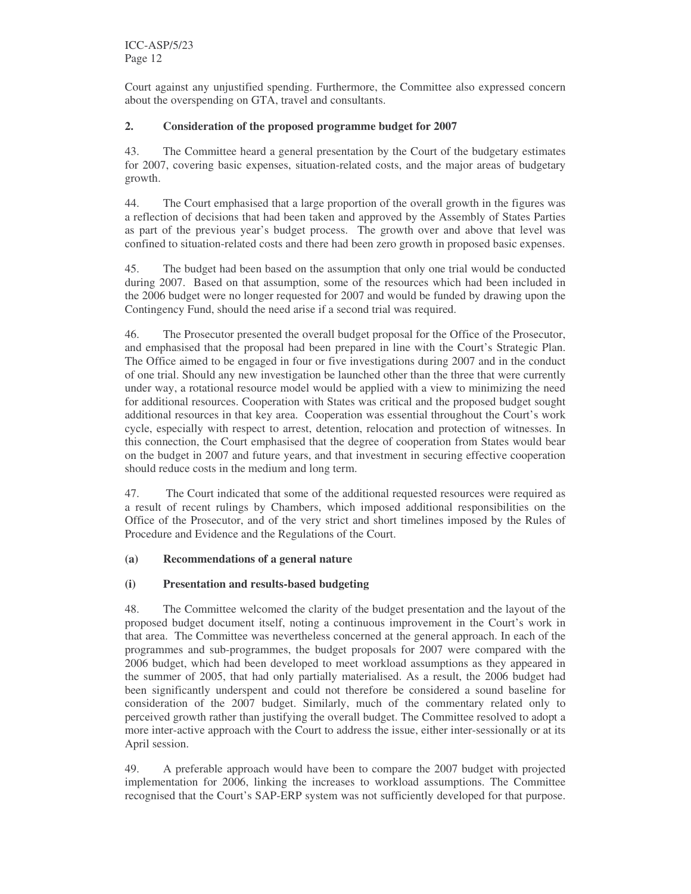Court against any unjustified spending. Furthermore, the Committee also expressed concern about the overspending on GTA, travel and consultants.

# **2. Consideration of the proposed programme budget for 2007**

43. The Committee heard a general presentation by the Court of the budgetary estimates for 2007, covering basic expenses, situation-related costs, and the major areas of budgetary growth.

44. The Court emphasised that a large proportion of the overall growth in the figures was a reflection of decisions that had been taken and approved by the Assembly of States Parties as part of the previous year's budget process. The growth over and above that level was confined to situation-related costs and there had been zero growth in proposed basic expenses.

45. The budget had been based on the assumption that only one trial would be conducted during 2007. Based on that assumption, some of the resources which had been included in the 2006 budget were no longer requested for 2007 and would be funded by drawing upon the Contingency Fund, should the need arise if a second trial was required.

46. The Prosecutor presented the overall budget proposal for the Office of the Prosecutor, and emphasised that the proposal had been prepared in line with the Court's Strategic Plan. The Office aimed to be engaged in four or five investigations during 2007 and in the conduct of one trial. Should any new investigation be launched other than the three that were currently under way, a rotational resource model would be applied with a view to minimizing the need for additional resources. Cooperation with States was critical and the proposed budget sought additional resources in that key area. Cooperation was essential throughout the Court's work cycle, especially with respect to arrest, detention, relocation and protection of witnesses. In this connection, the Court emphasised that the degree of cooperation from States would bear on the budget in 2007 and future years, and that investment in securing effective cooperation should reduce costs in the medium and long term.

47. The Court indicated that some of the additional requested resources were required as a result of recent rulings by Chambers, which imposed additional responsibilities on the Office of the Prosecutor, and of the very strict and short timelines imposed by the Rules of Procedure and Evidence and the Regulations of the Court.

#### **(a) Recommendations of a general nature**

# **(i) Presentation and results-based budgeting**

48. The Committee welcomed the clarity of the budget presentation and the layout of the proposed budget document itself, noting a continuous improvement in the Court's work in that area. The Committee was nevertheless concerned at the general approach. In each of the programmes and sub-programmes, the budget proposals for 2007 were compared with the 2006 budget, which had been developed to meet workload assumptions as they appeared in the summer of 2005, that had only partially materialised. As a result, the 2006 budget had been significantly underspent and could not therefore be considered a sound baseline for consideration of the 2007 budget. Similarly, much of the commentary related only to perceived growth rather than justifying the overall budget. The Committee resolved to adopt a more inter-active approach with the Court to address the issue, either inter-sessionally or at its April session.

49. A preferable approach would have been to compare the 2007 budget with projected implementation for 2006, linking the increases to workload assumptions. The Committee recognised that the Court's SAP-ERP system was not sufficiently developed for that purpose.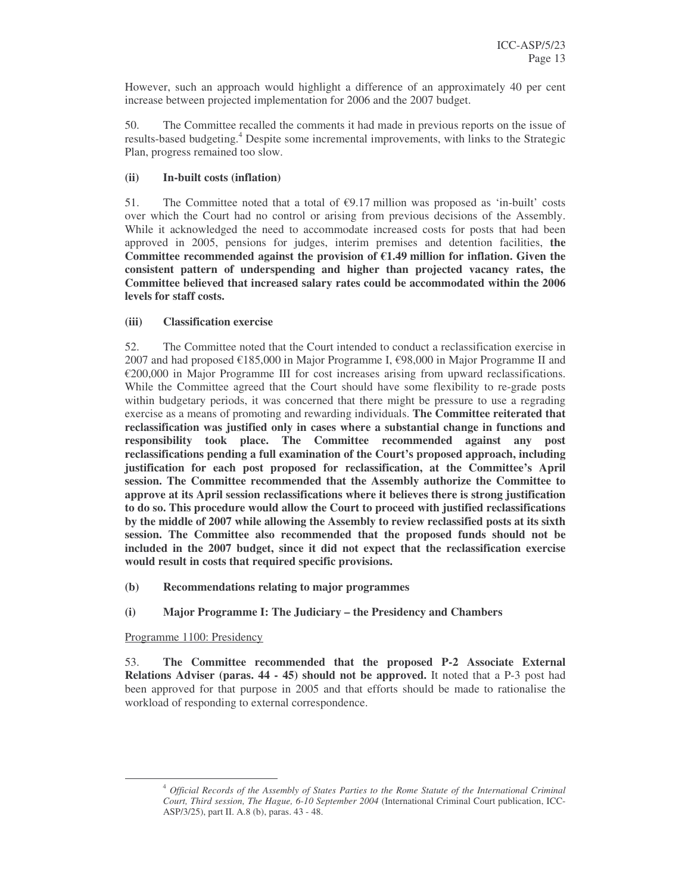However, such an approach would highlight a difference of an approximately 40 per cent increase between projected implementation for 2006 and the 2007 budget.

50. The Committee recalled the comments it had made in previous reports on the issue of results-based budgeting.<sup>4</sup> Despite some incremental improvements, with links to the Strategic Plan, progress remained too slow.

# **(ii) In-built costs (inflation)**

51. The Committee noted that a total of  $\epsilon$ 9.17 million was proposed as 'in-built' costs over which the Court had no control or arising from previous decisions of the Assembly. While it acknowledged the need to accommodate increased costs for posts that had been approved in 2005, pensions for judges, interim premises and detention facilities, **the Committee recommended against the provision of €1.49 million for inflation. Given the consistent pattern of underspending and higher than projected vacancy rates, the Committee believed that increased salary rates could be accommodated within the 2006 levels for staff costs.**

### **(iii) Classification exercise**

52. The Committee noted that the Court intended to conduct a reclassification exercise in 2007 and had proposed €185,000 in Major Programme I, €98,000 in Major Programme II and €200,000 in Major Programme III for cost increases arising from upward reclassifications. While the Committee agreed that the Court should have some flexibility to re-grade posts within budgetary periods, it was concerned that there might be pressure to use a regrading exercise as a means of promoting and rewarding individuals. **The Committee reiterated that reclassification was justified only in cases where a substantial change in functions and responsibility took place. The Committee recommended against any post reclassifications pending a full examination of the Court's proposed approach, including justification for each post proposed for reclassification, at the Committee's April session. The Committee recommended that the Assembly authorize the Committee to approve at its April session reclassifications where it believes there is strong justification to do so. This procedure would allow the Court to proceed with justified reclassifications by the middle of 2007 while allowing the Assembly to review reclassified posts at its sixth session. The Committee also recommended that the proposed funds should not be included in the 2007 budget, since it did not expect that the reclassification exercise would result in costs that required specific provisions.**

- **(b) Recommendations relating to major programmes**
- **(i) Major Programme I: The Judiciary – the Presidency and Chambers**

Programme 1100: Presidency

53. **The Committee recommended that the proposed P-2 Associate External Relations Adviser (paras. 44 - 45) should not be approved.** It noted that a P-3 post had been approved for that purpose in 2005 and that efforts should be made to rationalise the workload of responding to external correspondence.

<sup>4</sup> *Official Records of the Assembly of States Parties to the Rome Statute of the International Criminal Court, Third session, The Hague, 6-10 September 2004* (International Criminal Court publication, ICC-ASP/3/25), part II. A.8 (b), paras. 43 - 48.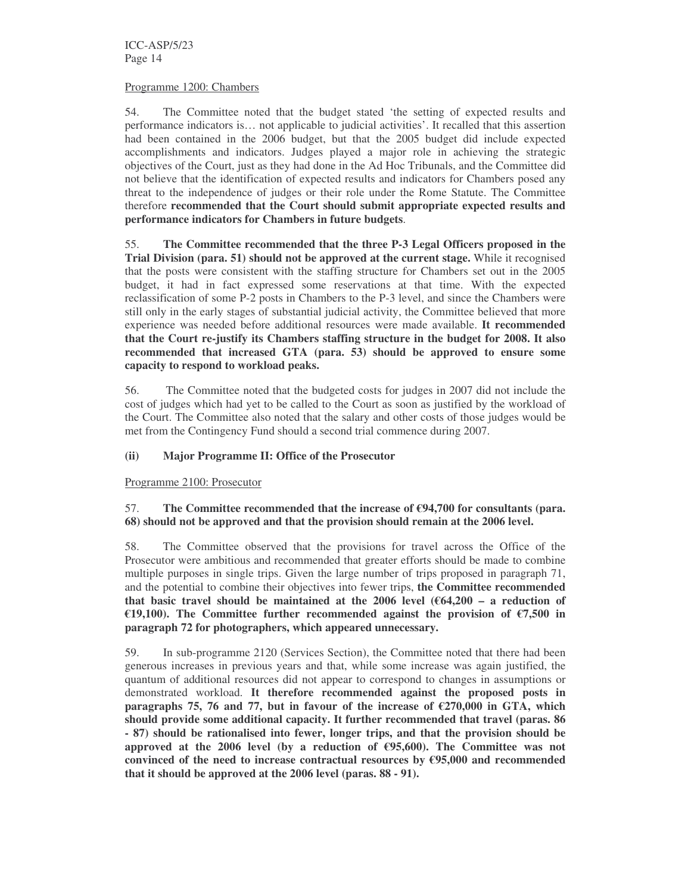ICC-ASP/5/23 Page 14

#### Programme 1200: Chambers

54. The Committee noted that the budget stated 'the setting of expected results and performance indicators is… not applicable to judicial activities'. It recalled that this assertion had been contained in the 2006 budget, but that the 2005 budget did include expected accomplishments and indicators. Judges played a major role in achieving the strategic objectives of the Court, just as they had done in the Ad Hoc Tribunals, and the Committee did not believe that the identification of expected results and indicators for Chambers posed any threat to the independence of judges or their role under the Rome Statute. The Committee therefore **recommended that the Court should submit appropriate expected results and performance indicators for Chambers in future budgets**.

55. **The Committee recommended that the three P-3 Legal Officers proposed in the Trial Division (para. 51) should not be approved at the current stage.** While it recognised that the posts were consistent with the staffing structure for Chambers set out in the 2005 budget, it had in fact expressed some reservations at that time. With the expected reclassification of some P-2 posts in Chambers to the P-3 level, and since the Chambers were still only in the early stages of substantial judicial activity, the Committee believed that more experience was needed before additional resources were made available. **It recommended that the Court re-justify its Chambers staffing structure in the budget for 2008. It also recommended that increased GTA (para. 53) should be approved to ensure some capacity to respond to workload peaks.**

56. The Committee noted that the budgeted costs for judges in 2007 did not include the cost of judges which had yet to be called to the Court as soon as justified by the workload of the Court. The Committee also noted that the salary and other costs of those judges would be met from the Contingency Fund should a second trial commence during 2007.

#### **(ii) Major Programme II: Office of the Prosecutor**

Programme 2100: Prosecutor

### 57. **The Committee recommended that the increase of €94,700 for consultants (para. 68) should not be approved and that the provision should remain at the 2006 level.**

58. The Committee observed that the provisions for travel across the Office of the Prosecutor were ambitious and recommended that greater efforts should be made to combine multiple purposes in single trips. Given the large number of trips proposed in paragraph 71, and the potential to combine their objectives into fewer trips, **the Committee recommended that basic travel should be maintained at the 2006 level (€64,200 – a reduction of €19,100). The Committee further recommended against the provision of €7,500 in paragraph 72 for photographers, which appeared unnecessary.**

59. In sub-programme 2120 (Services Section), the Committee noted that there had been generous increases in previous years and that, while some increase was again justified, the quantum of additional resources did not appear to correspond to changes in assumptions or demonstrated workload. **It therefore recommended against the proposed posts in paragraphs 75, 76 and 77, but in favour** of the **increase** of  $\epsilon$ 270,000 **in** GTA, which **should provide some additional capacity. It further recommended that travel (paras. 86 - 87) should be rationalised into fewer, longer trips, and that the provision should be approved at the 2006 level (by a reduction of €95,600). The Committee was not convinced of the need to increase contractual resources by €95,000 and recommended that it should be approved at the 2006 level (paras. 88 - 91).**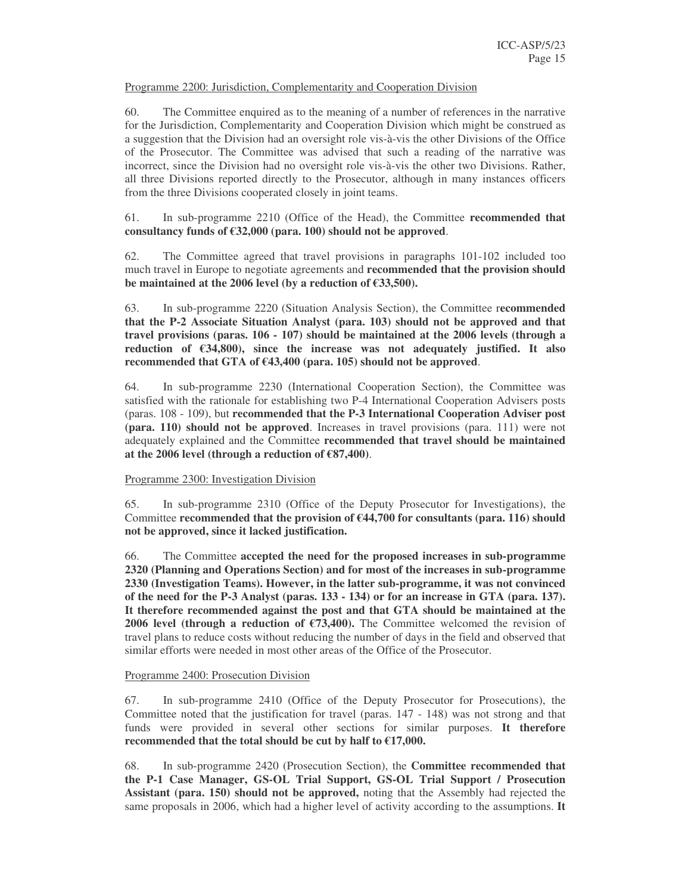#### Programme 2200: Jurisdiction, Complementarity and Cooperation Division

60. The Committee enquired as to the meaning of a number of references in the narrative for the Jurisdiction, Complementarity and Cooperation Division which might be construed as a suggestion that the Division had an oversight role vis-à-vis the other Divisions of the Office of the Prosecutor. The Committee was advised that such a reading of the narrative was incorrect, since the Division had no oversight role vis-à-vis the other two Divisions. Rather, all three Divisions reported directly to the Prosecutor, although in many instances officers from the three Divisions cooperated closely in joint teams.

#### 61. In sub-programme 2210 (Office of the Head), the Committee **recommended that consultancy funds of €32,000 (para. 100) should not be approved**.

62. The Committee agreed that travel provisions in paragraphs 101-102 included too much travel in Europe to negotiate agreements and **recommended that the provision should be maintained at the 2006 level (by a reduction of €33,500).**

63. In sub-programme 2220 (Situation Analysis Section), the Committee r**ecommended that the P-2 Associate Situation Analyst (para. 103) should not be approved and that travel provisions (paras. 106 - 107) should be maintained at the 2006 levels (through a reduction of €34,800), since the increase was not adequately justified. It also recommended** that GTA of  $\epsilon$ 43,400 (para. 105) should not be approved.

64. In sub-programme 2230 (International Cooperation Section), the Committee was satisfied with the rationale for establishing two P-4 International Cooperation Advisers posts (paras. 108 - 109), but **recommended that the P-3 International Cooperation Adviser post (para. 110) should not be approved**. Increases in travel provisions (para. 111) were not adequately explained and the Committee **recommended that travel should be maintained at the 2006 level (through a reduction of €87,400)**.

#### Programme 2300: Investigation Division

65. In sub-programme 2310 (Office of the Deputy Prosecutor for Investigations), the Committee **recommended that the provision of €44,700 for consultants (para. 116) should not be approved, since it lacked justification.**

66. The Committee **accepted the need for the proposed increases in sub-programme 2320 (Planning and Operations Section) and for most of the increases in sub-programme 2330 (Investigation Teams). However, in the latter sub-programme, it was not convinced of the need for the P-3 Analyst (paras. 133 - 134) or for an increase in GTA (para. 137). It therefore recommended against the post and that GTA should be maintained at the 2006 level (through a reduction of €73,400).** The Committee welcomed the revision of travel plans to reduce costs without reducing the number of days in the field and observed that similar efforts were needed in most other areas of the Office of the Prosecutor.

#### Programme 2400: Prosecution Division

67. In sub-programme 2410 (Office of the Deputy Prosecutor for Prosecutions), the Committee noted that the justification for travel (paras. 147 - 148) was not strong and that funds were provided in several other sections for similar purposes. **It therefore recommended that the total should be cut by half to €17,000.**

68. In sub-programme 2420 (Prosecution Section), the **Committee recommended that the P-1 Case Manager, GS-OL Trial Support, GS-OL Trial Support / Prosecution Assistant (para. 150) should not be approved,** noting that the Assembly had rejected the same proposals in 2006, which had a higher level of activity according to the assumptions. **It**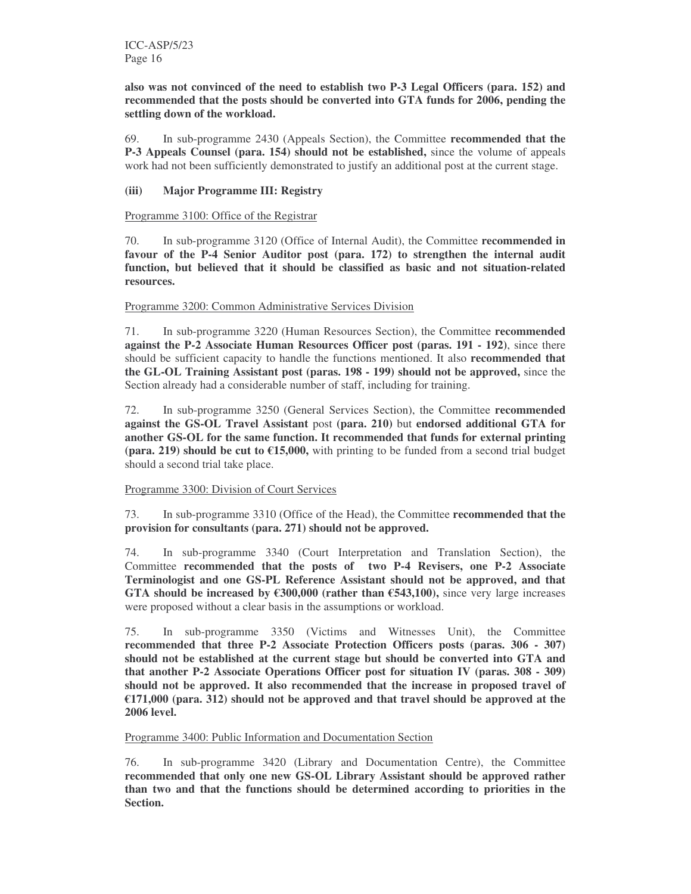**also was not convinced of the need to establish two P-3 Legal Officers (para. 152) and recommended that the posts should be converted into GTA funds for 2006, pending the settling down of the workload.**

69. In sub-programme 2430 (Appeals Section), the Committee **recommended that the P-3 Appeals Counsel (para. 154) should not be established,** since the volume of appeals work had not been sufficiently demonstrated to justify an additional post at the current stage.

#### **(iii) Major Programme III: Registry**

#### Programme 3100: Office of the Registrar

70. In sub-programme 3120 (Office of Internal Audit), the Committee **recommended in favour of the P-4 Senior Auditor post (para. 172) to strengthen the internal audit function, but believed that it should be classified as basic and not situation-related resources.**

#### Programme 3200: Common Administrative Services Division

71. In sub-programme 3220 (Human Resources Section), the Committee **recommended against the P-2 Associate Human Resources Officer post (paras. 191 - 192)**, since there should be sufficient capacity to handle the functions mentioned. It also **recommended that the GL-OL Training Assistant post (paras. 198 - 199) should not be approved,** since the Section already had a considerable number of staff, including for training.

72. In sub-programme 3250 (General Services Section), the Committee **recommended against the GS-OL Travel Assistant** post **(para. 210)** but **endorsed additional GTA for another GS-OL for the same function. It recommended that funds for external printing (para. 219) should be cut to €15,000,** with printing to be funded from a second trial budget should a second trial take place.

#### Programme 3300: Division of Court Services

73. In sub-programme 3310 (Office of the Head), the Committee **recommended that the provision for consultants (para. 271) should not be approved.**

74. In sub-programme 3340 (Court Interpretation and Translation Section), the Committee **recommended that the posts of two P-4 Revisers, one P-2 Associate Terminologist and one GS-PL Reference Assistant should not be approved, and that GTA** should be increased by  $\epsilon$ 300,000 (rather than  $\epsilon$ 543,100), since very large increases were proposed without a clear basis in the assumptions or workload.

75. In sub-programme 3350 (Victims and Witnesses Unit), the Committee **recommended that three P-2 Associate Protection Officers posts (paras. 306 - 307) should not be established at the current stage but should be converted into GTA and that another P-2 Associate Operations Officer post for situation IV (paras. 308 - 309) should not be approved. It also recommended that the increase in proposed travel of €171,000 (para. 312) should not be approved and that travel should be approved at the 2006 level.**

#### Programme 3400: Public Information and Documentation Section

76. In sub-programme 3420 (Library and Documentation Centre), the Committee **recommended that only one new GS-OL Library Assistant should be approved rather than two and that the functions should be determined according to priorities in the Section.**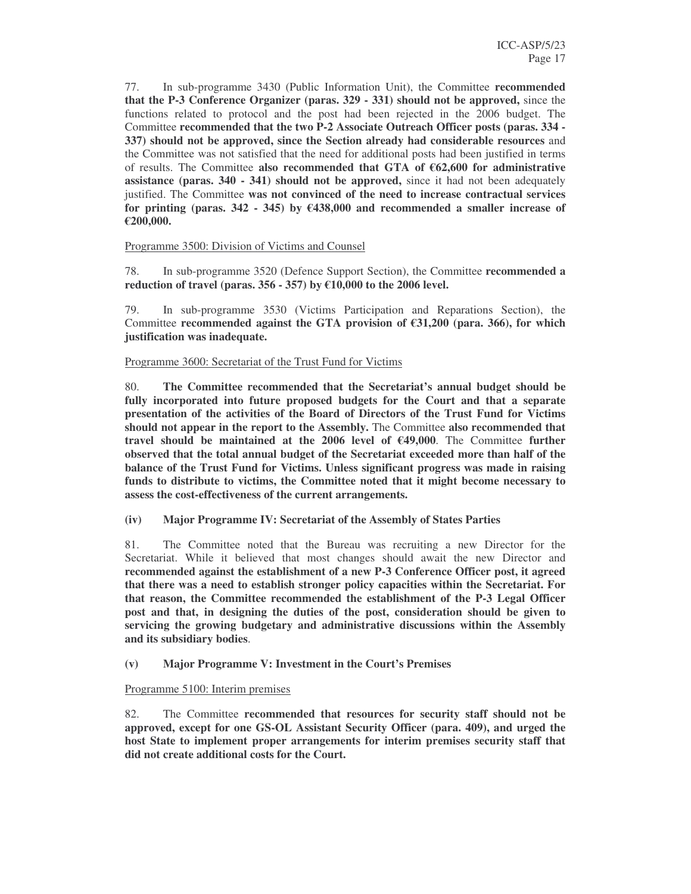77. In sub-programme 3430 (Public Information Unit), the Committee **recommended that the P-3 Conference Organizer (paras. 329 - 331) should not be approved,** since the functions related to protocol and the post had been rejected in the 2006 budget. The Committee **recommended that the two P-2 Associate Outreach Officer posts (paras. 334 - 337) should not be approved, since the Section already had considerable resources** and the Committee was not satisfied that the need for additional posts had been justified in terms of results. The Committee **also recommended that GTA of €62,600 for administrative assistance (paras. 340 - 341) should not be approved,** since it had not been adequately justified. The Committee **was not convinced of the need to increase contractual services for printing (paras. 342 - 345) by €438,000 and recommended a smaller increase of €200,000.**

#### Programme 3500: Division of Victims and Counsel

78. In sub-programme 3520 (Defence Support Section), the Committee **recommended a reduction of travel (paras. 356 - 357) by €10,000 to the 2006 level.**

79. In sub-programme 3530 (Victims Participation and Reparations Section), the Committee **recommended against the GTA provision of €31,200 (para. 366), for which justification was inadequate.**

#### Programme 3600: Secretariat of the Trust Fund for Victims

80. **The Committee recommended that the Secretariat's annual budget should be fully incorporated into future proposed budgets for the Court and that a separate presentation of the activities of the Board of Directors of the Trust Fund for Victims should not appear in the report to the Assembly.** The Committee **also recommended that travel should be maintained at the 2006 level of €49,000**. The Committee **further observed that the total annual budget of the Secretariat exceeded more than half of the balance of the Trust Fund for Victims. Unless significant progress was made in raising funds to distribute to victims, the Committee noted that it might become necessary to assess the cost-effectiveness of the current arrangements.**

**(iv) Major Programme IV: Secretariat of the Assembly of States Parties**

81. The Committee noted that the Bureau was recruiting a new Director for the Secretariat. While it believed that most changes should await the new Director and **recommended against the establishment of a new P-3 Conference Officer post, it agreed that there was a need to establish stronger policy capacities within the Secretariat. For that reason, the Committee recommended the establishment of the P-3 Legal Officer post and that, in designing the duties of the post, consideration should be given to servicing the growing budgetary and administrative discussions within the Assembly and its subsidiary bodies**.

**(v) Major Programme V: Investment in the Court's Premises**

# Programme 5100: Interim premises

82. The Committee **recommended that resources for security staff should not be approved, except for one GS-OL Assistant Security Officer (para. 409), and urged the host State to implement proper arrangements for interim premises security staff that did not create additional costs for the Court.**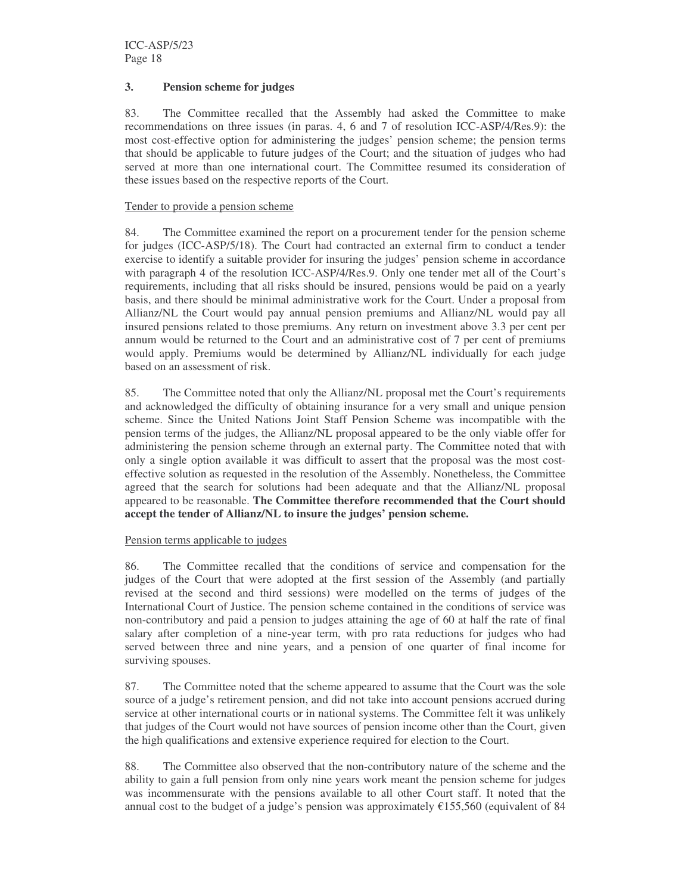### **3. Pension scheme for judges**

83. The Committee recalled that the Assembly had asked the Committee to make recommendations on three issues (in paras. 4, 6 and 7 of resolution ICC-ASP/4/Res.9): the most cost-effective option for administering the judges' pension scheme; the pension terms that should be applicable to future judges of the Court; and the situation of judges who had served at more than one international court. The Committee resumed its consideration of these issues based on the respective reports of the Court.

### Tender to provide a pension scheme

84. The Committee examined the report on a procurement tender for the pension scheme for judges (ICC-ASP/5/18). The Court had contracted an external firm to conduct a tender exercise to identify a suitable provider for insuring the judges' pension scheme in accordance with paragraph 4 of the resolution ICC-ASP/4/Res.9. Only one tender met all of the Court's requirements, including that all risks should be insured, pensions would be paid on a yearly basis, and there should be minimal administrative work for the Court. Under a proposal from Allianz/NL the Court would pay annual pension premiums and Allianz/NL would pay all insured pensions related to those premiums. Any return on investment above 3.3 per cent per annum would be returned to the Court and an administrative cost of 7 per cent of premiums would apply. Premiums would be determined by Allianz/NL individually for each judge based on an assessment of risk.

85. The Committee noted that only the Allianz/NL proposal met the Court's requirements and acknowledged the difficulty of obtaining insurance for a very small and unique pension scheme. Since the United Nations Joint Staff Pension Scheme was incompatible with the pension terms of the judges, the Allianz/NL proposal appeared to be the only viable offer for administering the pension scheme through an external party. The Committee noted that with only a single option available it was difficult to assert that the proposal was the most costeffective solution as requested in the resolution of the Assembly. Nonetheless, the Committee agreed that the search for solutions had been adequate and that the Allianz/NL proposal appeared to be reasonable. **The Committee therefore recommended that the Court should accept the tender of Allianz/NL to insure the judges' pension scheme.**

#### Pension terms applicable to judges

86. The Committee recalled that the conditions of service and compensation for the judges of the Court that were adopted at the first session of the Assembly (and partially revised at the second and third sessions) were modelled on the terms of judges of the International Court of Justice. The pension scheme contained in the conditions of service was non-contributory and paid a pension to judges attaining the age of 60 at half the rate of final salary after completion of a nine-year term, with pro rata reductions for judges who had served between three and nine years, and a pension of one quarter of final income for surviving spouses.

87. The Committee noted that the scheme appeared to assume that the Court was the sole source of a judge's retirement pension, and did not take into account pensions accrued during service at other international courts or in national systems. The Committee felt it was unlikely that judges of the Court would not have sources of pension income other than the Court, given the high qualifications and extensive experience required for election to the Court.

88. The Committee also observed that the non-contributory nature of the scheme and the ability to gain a full pension from only nine years work meant the pension scheme for judges was incommensurate with the pensions available to all other Court staff. It noted that the annual cost to the budget of a judge's pension was approximately  $\epsilon$ 155,560 (equivalent of 84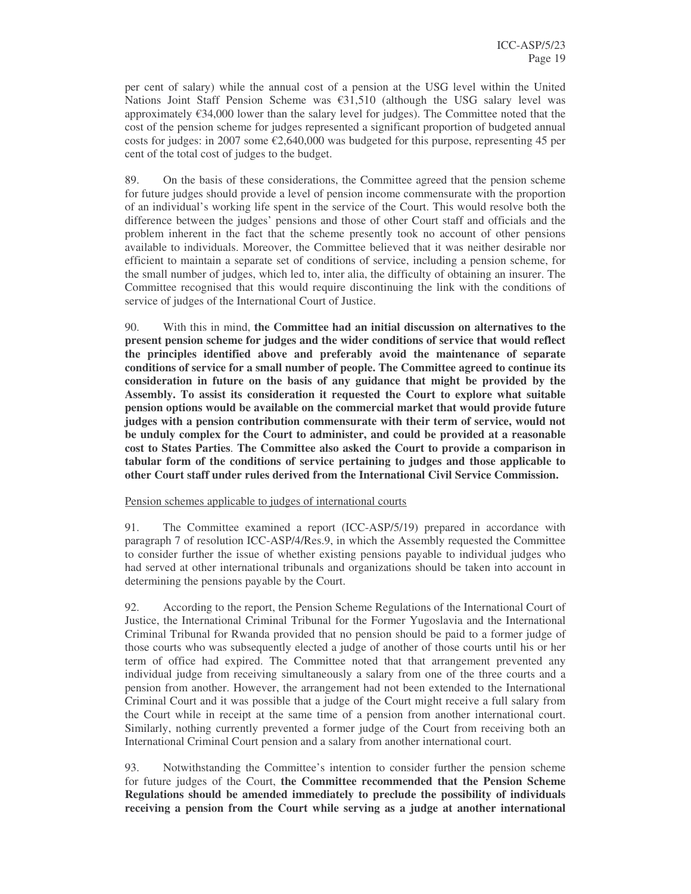per cent of salary) while the annual cost of a pension at the USG level within the United Nations Joint Staff Pension Scheme was  $\epsilon$ 31,510 (although the USG salary level was approximately €34,000 lower than the salary level for judges). The Committee noted that the cost of the pension scheme for judges represented a significant proportion of budgeted annual costs for judges: in 2007 some  $\epsilon$ 2,640,000 was budgeted for this purpose, representing 45 per cent of the total cost of judges to the budget.

89. On the basis of these considerations, the Committee agreed that the pension scheme for future judges should provide a level of pension income commensurate with the proportion of an individual's working life spent in the service of the Court. This would resolve both the difference between the judges' pensions and those of other Court staff and officials and the problem inherent in the fact that the scheme presently took no account of other pensions available to individuals. Moreover, the Committee believed that it was neither desirable nor efficient to maintain a separate set of conditions of service, including a pension scheme, for the small number of judges, which led to, inter alia, the difficulty of obtaining an insurer. The Committee recognised that this would require discontinuing the link with the conditions of service of judges of the International Court of Justice.

90. With this in mind, **the Committee had an initial discussion on alternatives to the present pension scheme for judges and the wider conditions of service that would reflect the principles identified above and preferably avoid the maintenance of separate conditions of service for a small number of people. The Committee agreed to continue its consideration in future on the basis of any guidance that might be provided by the Assembly. To assist its consideration it requested the Court to explore what suitable pension options would be available on the commercial market that would provide future judges with a pension contribution commensurate with their term of service, would not be unduly complex for the Court to administer, and could be provided at a reasonable cost to States Parties**. **The Committee also asked the Court to provide a comparison in tabular form of the conditions of service pertaining to judges and those applicable to other Court staff under rules derived from the International Civil Service Commission.**

#### Pension schemes applicable to judges of international courts

91. The Committee examined a report (ICC-ASP/5/19) prepared in accordance with paragraph 7 of resolution ICC-ASP/4/Res.9, in which the Assembly requested the Committee to consider further the issue of whether existing pensions payable to individual judges who had served at other international tribunals and organizations should be taken into account in determining the pensions payable by the Court.

92. According to the report, the Pension Scheme Regulations of the International Court of Justice, the International Criminal Tribunal for the Former Yugoslavia and the International Criminal Tribunal for Rwanda provided that no pension should be paid to a former judge of those courts who was subsequently elected a judge of another of those courts until his or her term of office had expired. The Committee noted that that arrangement prevented any individual judge from receiving simultaneously a salary from one of the three courts and a pension from another. However, the arrangement had not been extended to the International Criminal Court and it was possible that a judge of the Court might receive a full salary from the Court while in receipt at the same time of a pension from another international court. Similarly, nothing currently prevented a former judge of the Court from receiving both an International Criminal Court pension and a salary from another international court.

93. Notwithstanding the Committee's intention to consider further the pension scheme for future judges of the Court, **the Committee recommended that the Pension Scheme Regulations should be amended immediately to preclude the possibility of individuals receiving a pension from the Court while serving as a judge at another international**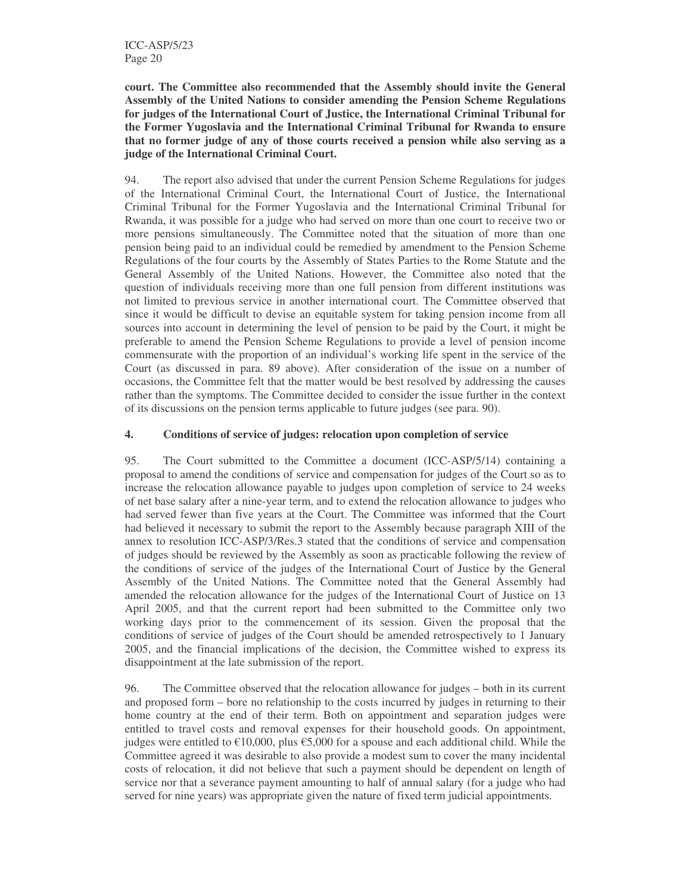**court. The Committee also recommended that the Assembly should invite the General Assembly of the United Nations to consider amending the Pension Scheme Regulations for judges of the International Court of Justice, the International Criminal Tribunal for the Former Yugoslavia and the International Criminal Tribunal for Rwanda to ensure that no former judge of any of those courts received a pension while also serving as a judge of the International Criminal Court.**

94. The report also advised that under the current Pension Scheme Regulations for judges of the International Criminal Court, the International Court of Justice, the International Criminal Tribunal for the Former Yugoslavia and the International Criminal Tribunal for Rwanda, it was possible for a judge who had served on more than one court to receive two or more pensions simultaneously. The Committee noted that the situation of more than one pension being paid to an individual could be remedied by amendment to the Pension Scheme Regulations of the four courts by the Assembly of States Parties to the Rome Statute and the General Assembly of the United Nations. However, the Committee also noted that the question of individuals receiving more than one full pension from different institutions was not limited to previous service in another international court. The Committee observed that since it would be difficult to devise an equitable system for taking pension income from all sources into account in determining the level of pension to be paid by the Court, it might be preferable to amend the Pension Scheme Regulations to provide a level of pension income commensurate with the proportion of an individual's working life spent in the service of the Court (as discussed in para. 89 above). After consideration of the issue on a number of occasions, the Committee felt that the matter would be best resolved by addressing the causes rather than the symptoms. The Committee decided to consider the issue further in the context of its discussions on the pension terms applicable to future judges (see para. 90).

# **4. Conditions of service of judges: relocation upon completion of service**

95. The Court submitted to the Committee a document (ICC-ASP/5/14) containing a proposal to amend the conditions of service and compensation for judges of the Court so as to increase the relocation allowance payable to judges upon completion of service to 24 weeks of net base salary after a nine-year term, and to extend the relocation allowance to judges who had served fewer than five years at the Court. The Committee was informed that the Court had believed it necessary to submit the report to the Assembly because paragraph XIII of the annex to resolution ICC-ASP/3/Res.3 stated that the conditions of service and compensation of judges should be reviewed by the Assembly as soon as practicable following the review of the conditions of service of the judges of the International Court of Justice by the General Assembly of the United Nations. The Committee noted that the General Assembly had amended the relocation allowance for the judges of the International Court of Justice on 13 April 2005, and that the current report had been submitted to the Committee only two working days prior to the commencement of its session. Given the proposal that the conditions of service of judges of the Court should be amended retrospectively to 1 January 2005, and the financial implications of the decision, the Committee wished to express its disappointment at the late submission of the report.

96. The Committee observed that the relocation allowance for judges – both in its current and proposed form – bore no relationship to the costs incurred by judges in returning to their home country at the end of their term. Both on appointment and separation judges were entitled to travel costs and removal expenses for their household goods. On appointment, judges were entitled to  $\epsilon$ 10,000, plus  $\epsilon$ 5,000 for a spouse and each additional child. While the Committee agreed it was desirable to also provide a modest sum to cover the many incidental costs of relocation, it did not believe that such a payment should be dependent on length of service nor that a severance payment amounting to half of annual salary (for a judge who had served for nine years) was appropriate given the nature of fixed term judicial appointments.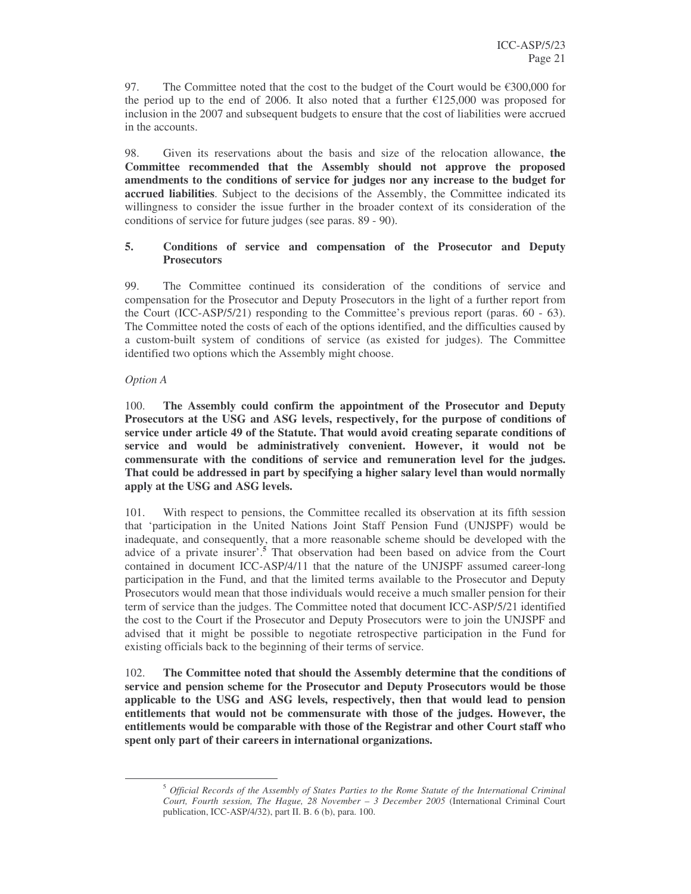97. The Committee noted that the cost to the budget of the Court would be  $\epsilon$ 300,000 for the period up to the end of 2006. It also noted that a further  $\epsilon$ 125,000 was proposed for inclusion in the 2007 and subsequent budgets to ensure that the cost of liabilities were accrued in the accounts.

98. Given its reservations about the basis and size of the relocation allowance, **the Committee recommended that the Assembly should not approve the proposed amendments to the conditions of service for judges nor any increase to the budget for accrued liabilities**. Subject to the decisions of the Assembly, the Committee indicated its willingness to consider the issue further in the broader context of its consideration of the conditions of service for future judges (see paras. 89 - 90).

### **5. Conditions of service and compensation of the Prosecutor and Deputy Prosecutors**

99. The Committee continued its consideration of the conditions of service and compensation for the Prosecutor and Deputy Prosecutors in the light of a further report from the Court (ICC-ASP/5/21) responding to the Committee's previous report (paras. 60 - 63). The Committee noted the costs of each of the options identified, and the difficulties caused by a custom-built system of conditions of service (as existed for judges). The Committee identified two options which the Assembly might choose.

#### *Option A*

100. **The Assembly could confirm the appointment of the Prosecutor and Deputy Prosecutors at the USG and ASG levels, respectively, for the purpose of conditions of service under article 49 of the Statute. That would avoid creating separate conditions of service and would be administratively convenient. However, it would not be commensurate with the conditions of service and remuneration level for the judges. That could be addressed in part by specifying a higher salary level than would normally apply at the USG and ASG levels.**

101. With respect to pensions, the Committee recalled its observation at its fifth session that 'participation in the United Nations Joint Staff Pension Fund (UNJSPF) would be inadequate, and consequently, that a more reasonable scheme should be developed with the advice of a private insurer'. **<sup>5</sup>** That observation had been based on advice from the Court contained in document ICC-ASP/4/11 that the nature of the UNJSPF assumed career-long participation in the Fund, and that the limited terms available to the Prosecutor and Deputy Prosecutors would mean that those individuals would receive a much smaller pension for their term of service than the judges. The Committee noted that document ICC-ASP/5/21 identified the cost to the Court if the Prosecutor and Deputy Prosecutors were to join the UNJSPF and advised that it might be possible to negotiate retrospective participation in the Fund for existing officials back to the beginning of their terms of service.

102. **The Committee noted that should the Assembly determine that the conditions of service and pension scheme for the Prosecutor and Deputy Prosecutors would be those applicable to the USG and ASG levels, respectively, then that would lead to pension entitlements that would not be commensurate with those of the judges. However, the entitlements would be comparable with those of the Registrar and other Court staff who spent only part of their careers in international organizations.**

<sup>5</sup> *Official Records of the Assembly of States Parties to the Rome Statute of the International Criminal Court, Fourth session, The Hague, 28 November – 3 December 2005* (International Criminal Court publication, ICC-ASP/4/32), part II. B. 6 (b), para. 100.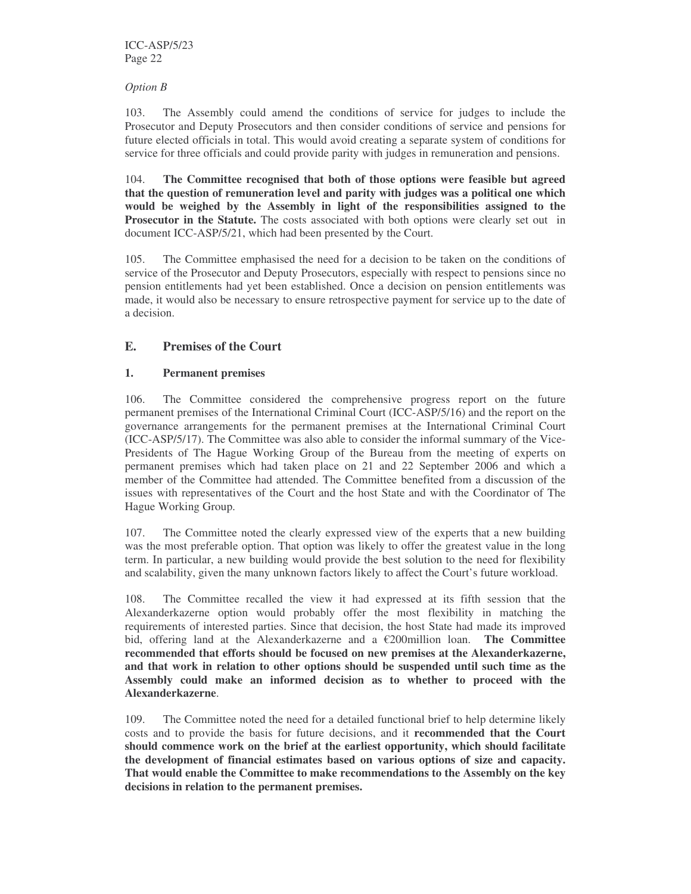### *Option B*

103. The Assembly could amend the conditions of service for judges to include the Prosecutor and Deputy Prosecutors and then consider conditions of service and pensions for future elected officials in total. This would avoid creating a separate system of conditions for service for three officials and could provide parity with judges in remuneration and pensions.

104. **The Committee recognised that both of those options were feasible but agreed that the question of remuneration level and parity with judges was a political one which would be weighed by the Assembly in light of the responsibilities assigned to the Prosecutor in the Statute.** The costs associated with both options were clearly set out in document ICC-ASP/5/21, which had been presented by the Court.

105. The Committee emphasised the need for a decision to be taken on the conditions of service of the Prosecutor and Deputy Prosecutors, especially with respect to pensions since no pension entitlements had yet been established. Once a decision on pension entitlements was made, it would also be necessary to ensure retrospective payment for service up to the date of a decision.

# **E. Premises of the Court**

# **1. Permanent premises**

106. The Committee considered the comprehensive progress report on the future permanent premises of the International Criminal Court (ICC-ASP/5/16) and the report on the governance arrangements for the permanent premises at the International Criminal Court (ICC-ASP/5/17). The Committee was also able to consider the informal summary of the Vice-Presidents of The Hague Working Group of the Bureau from the meeting of experts on permanent premises which had taken place on 21 and 22 September 2006 and which a member of the Committee had attended. The Committee benefited from a discussion of the issues with representatives of the Court and the host State and with the Coordinator of The Hague Working Group.

107. The Committee noted the clearly expressed view of the experts that a new building was the most preferable option. That option was likely to offer the greatest value in the long term. In particular, a new building would provide the best solution to the need for flexibility and scalability, given the many unknown factors likely to affect the Court's future workload.

108. The Committee recalled the view it had expressed at its fifth session that the Alexanderkazerne option would probably offer the most flexibility in matching the requirements of interested parties. Since that decision, the host State had made its improved bid, offering land at the Alexanderkazerne and a €200million loan. **The Committee recommended that efforts should be focused on new premises at the Alexanderkazerne, and that work in relation to other options should be suspended until such time as the Assembly could make an informed decision as to whether to proceed with the Alexanderkazerne**.

109. The Committee noted the need for a detailed functional brief to help determine likely costs and to provide the basis for future decisions, and it **recommended that the Court should commence work on the brief at the earliest opportunity, which should facilitate the development of financial estimates based on various options of size and capacity. That would enable the Committee to make recommendations to the Assembly on the key decisions in relation to the permanent premises.**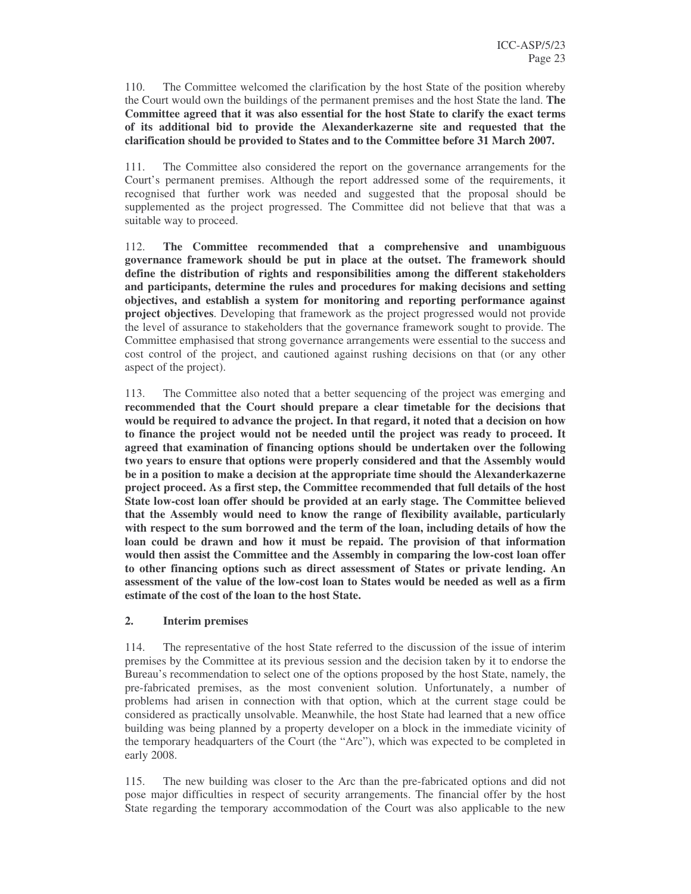110. The Committee welcomed the clarification by the host State of the position whereby the Court would own the buildings of the permanent premises and the host State the land. **The Committee agreed that it was also essential for the host State to clarify the exact terms of its additional bid to provide the Alexanderkazerne site and requested that the clarification should be provided to States and to the Committee before 31 March 2007.**

111. The Committee also considered the report on the governance arrangements for the Court's permanent premises. Although the report addressed some of the requirements, it recognised that further work was needed and suggested that the proposal should be supplemented as the project progressed. The Committee did not believe that that was a suitable way to proceed.

112. **The Committee recommended that a comprehensive and unambiguous governance framework should be put in place at the outset. The framework should define the distribution of rights and responsibilities among the different stakeholders and participants, determine the rules and procedures for making decisions and setting objectives, and establish a system for monitoring and reporting performance against project objectives**. Developing that framework as the project progressed would not provide the level of assurance to stakeholders that the governance framework sought to provide. The Committee emphasised that strong governance arrangements were essential to the success and cost control of the project, and cautioned against rushing decisions on that (or any other aspect of the project).

113. The Committee also noted that a better sequencing of the project was emerging and **recommended that the Court should prepare a clear timetable for the decisions that would be required to advance the project. In that regard, it noted that a decision on how to finance the project would not be needed until the project was ready to proceed. It agreed that examination of financing options should be undertaken over the following two years to ensure that options were properly considered and that the Assembly would be in a position to make a decision at the appropriate time should the Alexanderkazerne project proceed. As a first step, the Committee recommended that full details of the host State low-cost loan offer should be provided at an early stage. The Committee believed that the Assembly would need to know the range of flexibility available, particularly with respect to the sum borrowed and the term of the loan, including details of how the loan could be drawn and how it must be repaid. The provision of that information would then assist the Committee and the Assembly in comparing the low-cost loan offer to other financing options such as direct assessment of States or private lending. An assessment of the value of the low-cost loan to States would be needed as well as a firm estimate of the cost of the loan to the host State.**

#### **2. Interim premises**

114. The representative of the host State referred to the discussion of the issue of interim premises by the Committee at its previous session and the decision taken by it to endorse the Bureau's recommendation to select one of the options proposed by the host State, namely, the pre-fabricated premises, as the most convenient solution. Unfortunately, a number of problems had arisen in connection with that option, which at the current stage could be considered as practically unsolvable. Meanwhile, the host State had learned that a new office building was being planned by a property developer on a block in the immediate vicinity of the temporary headquarters of the Court (the "Arc"), which was expected to be completed in early 2008.

115. The new building was closer to the Arc than the pre-fabricated options and did not pose major difficulties in respect of security arrangements. The financial offer by the host State regarding the temporary accommodation of the Court was also applicable to the new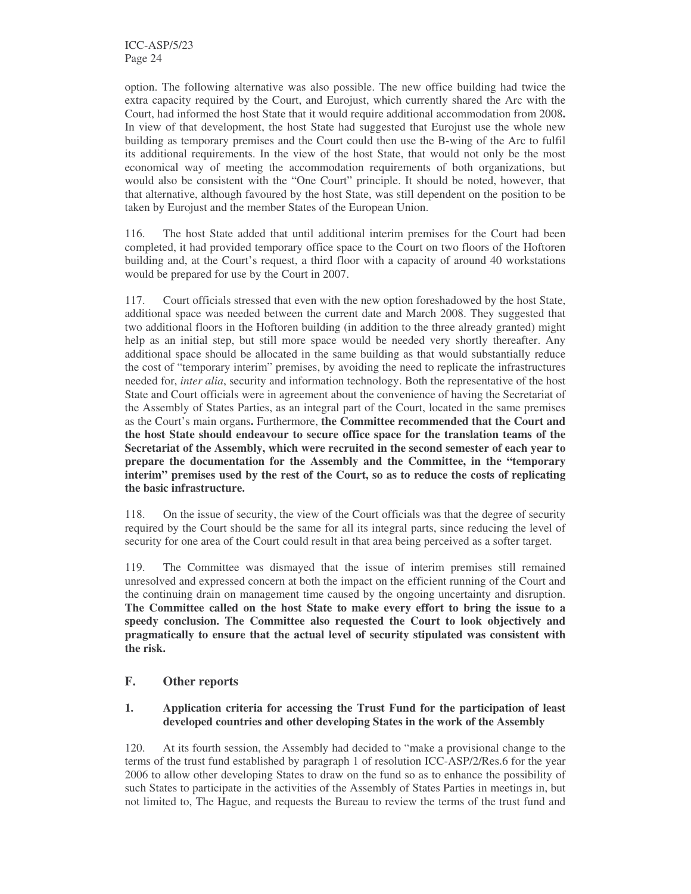ICC-ASP/5/23 Page 24

option. The following alternative was also possible. The new office building had twice the extra capacity required by the Court, and Eurojust, which currently shared the Arc with the Court, had informed the host State that it would require additional accommodation from 2008**.** In view of that development, the host State had suggested that Eurojust use the whole new building as temporary premises and the Court could then use the B-wing of the Arc to fulfil its additional requirements. In the view of the host State, that would not only be the most economical way of meeting the accommodation requirements of both organizations, but would also be consistent with the "One Court" principle. It should be noted, however, that that alternative, although favoured by the host State, was still dependent on the position to be taken by Eurojust and the member States of the European Union.

116. The host State added that until additional interim premises for the Court had been completed, it had provided temporary office space to the Court on two floors of the Hoftoren building and, at the Court's request, a third floor with a capacity of around 40 workstations would be prepared for use by the Court in 2007.

117. Court officials stressed that even with the new option foreshadowed by the host State, additional space was needed between the current date and March 2008. They suggested that two additional floors in the Hoftoren building (in addition to the three already granted) might help as an initial step, but still more space would be needed very shortly thereafter. Any additional space should be allocated in the same building as that would substantially reduce the cost of "temporary interim" premises, by avoiding the need to replicate the infrastructures needed for, *inter alia*, security and information technology. Both the representative of the host State and Court officials were in agreement about the convenience of having the Secretariat of the Assembly of States Parties, as an integral part of the Court, located in the same premises as the Court's main organs**.** Furthermore, **the Committee recommended that the Court and the host State should endeavour to secure office space for the translation teams of the Secretariat of the Assembly, which were recruited in the second semester of each year to prepare the documentation for the Assembly and the Committee, in the "temporary interim" premises used by the rest of the Court, so as to reduce the costs of replicating the basic infrastructure.**

118. On the issue of security, the view of the Court officials was that the degree of security required by the Court should be the same for all its integral parts, since reducing the level of security for one area of the Court could result in that area being perceived as a softer target.

119. The Committee was dismayed that the issue of interim premises still remained unresolved and expressed concern at both the impact on the efficient running of the Court and the continuing drain on management time caused by the ongoing uncertainty and disruption. **The Committee called on the host State to make every effort to bring the issue to a speedy conclusion. The Committee also requested the Court to look objectively and pragmatically to ensure that the actual level of security stipulated was consistent with the risk.**

#### **F. Other reports**

#### **1. Application criteria for accessing the Trust Fund for the participation of least developed countries and other developing States in the work of the Assembly**

120. At its fourth session, the Assembly had decided to "make a provisional change to the terms of the trust fund established by paragraph 1 of resolution ICC-ASP/2/Res.6 for the year 2006 to allow other developing States to draw on the fund so as to enhance the possibility of such States to participate in the activities of the Assembly of States Parties in meetings in, but not limited to, The Hague, and requests the Bureau to review the terms of the trust fund and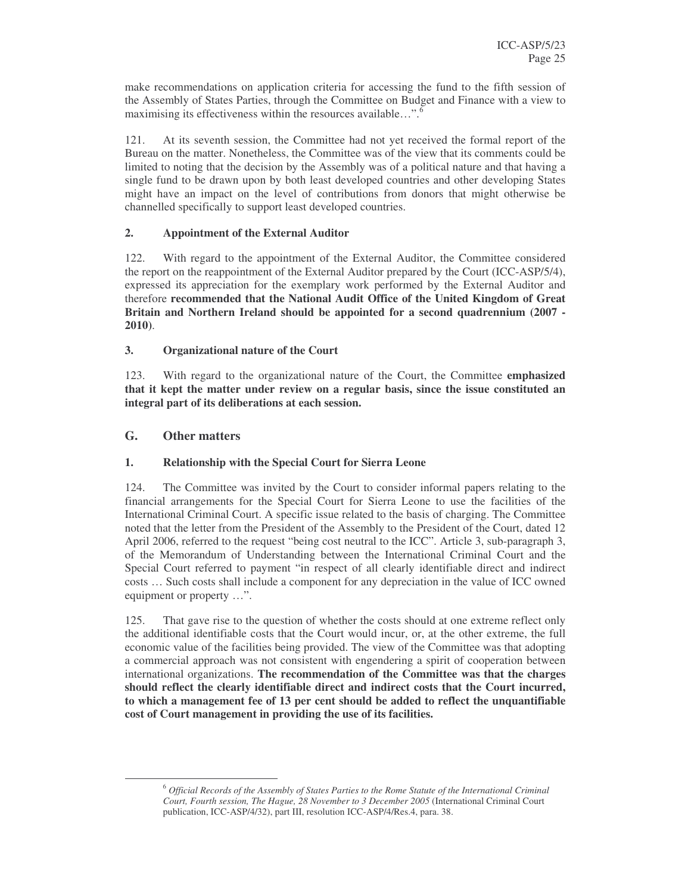make recommendations on application criteria for accessing the fund to the fifth session of the Assembly of States Parties, through the Committee on Budget and Finance with a view to maximising its effectiveness within the resources available…". 6

121. At its seventh session, the Committee had not yet received the formal report of the Bureau on the matter. Nonetheless, the Committee was of the view that its comments could be limited to noting that the decision by the Assembly was of a political nature and that having a single fund to be drawn upon by both least developed countries and other developing States might have an impact on the level of contributions from donors that might otherwise be channelled specifically to support least developed countries.

# **2. Appointment of the External Auditor**

122. With regard to the appointment of the External Auditor, the Committee considered the report on the reappointment of the External Auditor prepared by the Court (ICC-ASP/5/4), expressed its appreciation for the exemplary work performed by the External Auditor and therefore **recommended that the National Audit Office of the United Kingdom of Great Britain and Northern Ireland should be appointed for a second quadrennium (2007 - 2010)**.

# **3. Organizational nature of the Court**

123. With regard to the organizational nature of the Court, the Committee **emphasized that it kept the matter under review on a regular basis, since the issue constituted an integral part of its deliberations at each session.**

# **G. Other matters**

# **1. Relationship with the Special Court for Sierra Leone**

124. The Committee was invited by the Court to consider informal papers relating to the financial arrangements for the Special Court for Sierra Leone to use the facilities of the International Criminal Court. A specific issue related to the basis of charging. The Committee noted that the letter from the President of the Assembly to the President of the Court, dated 12 April 2006, referred to the request "being cost neutral to the ICC". Article 3, sub-paragraph 3, of the Memorandum of Understanding between the International Criminal Court and the Special Court referred to payment "in respect of all clearly identifiable direct and indirect costs … Such costs shall include a component for any depreciation in the value of ICC owned equipment or property …".

125. That gave rise to the question of whether the costs should at one extreme reflect only the additional identifiable costs that the Court would incur, or, at the other extreme, the full economic value of the facilities being provided. The view of the Committee was that adopting a commercial approach was not consistent with engendering a spirit of cooperation between international organizations. **The recommendation of the Committee was that the charges should reflect the clearly identifiable direct and indirect costs that the Court incurred, to which a management fee of 13 per cent should be added to reflect the unquantifiable cost of Court management in providing the use of its facilities.**

<sup>6</sup> *Official Records of the Assembly of States Parties to the Rome Statute of the International Criminal Court, Fourth session, The Hague, 28 November to 3 December 2005* (International Criminal Court publication, ICC-ASP/4/32), part III, resolution ICC-ASP/4/Res.4, para. 38.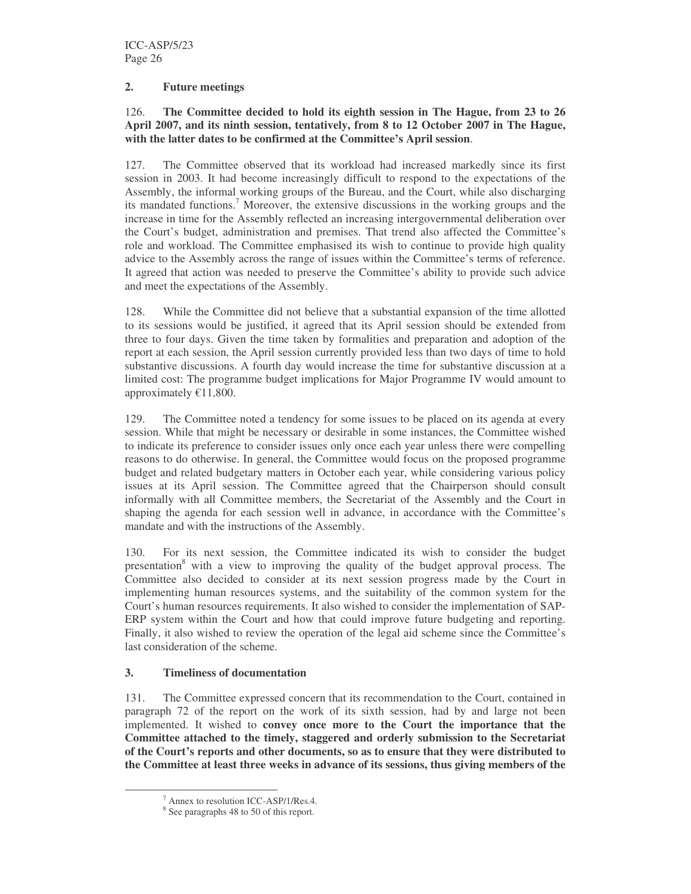### **2. Future meetings**

### 126. **The Committee decided to hold its eighth session in The Hague, from 23 to 26 April 2007, and its ninth session, tentatively, from 8 to 12 October 2007 in The Hague, with the latter dates to be confirmed at the Committee's April session**.

127. The Committee observed that its workload had increased markedly since its first session in 2003. It had become increasingly difficult to respond to the expectations of the Assembly, the informal working groups of the Bureau, and the Court, while also discharging its mandated functions. <sup>7</sup> Moreover, the extensive discussions in the working groups and the increase in time for the Assembly reflected an increasing intergovernmental deliberation over the Court's budget, administration and premises. That trend also affected the Committee's role and workload. The Committee emphasised its wish to continue to provide high quality advice to the Assembly across the range of issues within the Committee's terms of reference. It agreed that action was needed to preserve the Committee's ability to provide such advice and meet the expectations of the Assembly.

128. While the Committee did not believe that a substantial expansion of the time allotted to its sessions would be justified, it agreed that its April session should be extended from three to four days. Given the time taken by formalities and preparation and adoption of the report at each session, the April session currently provided less than two days of time to hold substantive discussions. A fourth day would increase the time for substantive discussion at a limited cost: The programme budget implications for Major Programme IV would amount to approximately  $E11,800$ .

129. The Committee noted a tendency for some issues to be placed on its agenda at every session. While that might be necessary or desirable in some instances, the Committee wished to indicate its preference to consider issues only once each year unless there were compelling reasons to do otherwise. In general, the Committee would focus on the proposed programme budget and related budgetary matters in October each year, while considering various policy issues at its April session. The Committee agreed that the Chairperson should consult informally with all Committee members, the Secretariat of the Assembly and the Court in shaping the agenda for each session well in advance, in accordance with the Committee's mandate and with the instructions of the Assembly.

130. For its next session, the Committee indicated its wish to consider the budget presentation<sup>8</sup> with a view to improving the quality of the budget approval process. The Committee also decided to consider at its next session progress made by the Court in implementing human resources systems, and the suitability of the common system for the Court's human resources requirements. It also wished to consider the implementation of SAP-ERP system within the Court and how that could improve future budgeting and reporting. Finally, it also wished to review the operation of the legal aid scheme since the Committee's last consideration of the scheme.

# **3. Timeliness of documentation**

131. The Committee expressed concern that its recommendation to the Court, contained in paragraph 72 of the report on the work of its sixth session, had by and large not been implemented. It wished to **convey once more to the Court the importance that the Committee attached to the timely, staggered and orderly submission to the Secretariat of the Court's reports and other documents, so as to ensure that they were distributed to the Committee at least three weeks in advance of its sessions, thus giving members of the**

<sup>7</sup> Annex to resolution ICC-ASP/1/Res.4.

<sup>&</sup>lt;sup>8</sup> See paragraphs 48 to 50 of this report.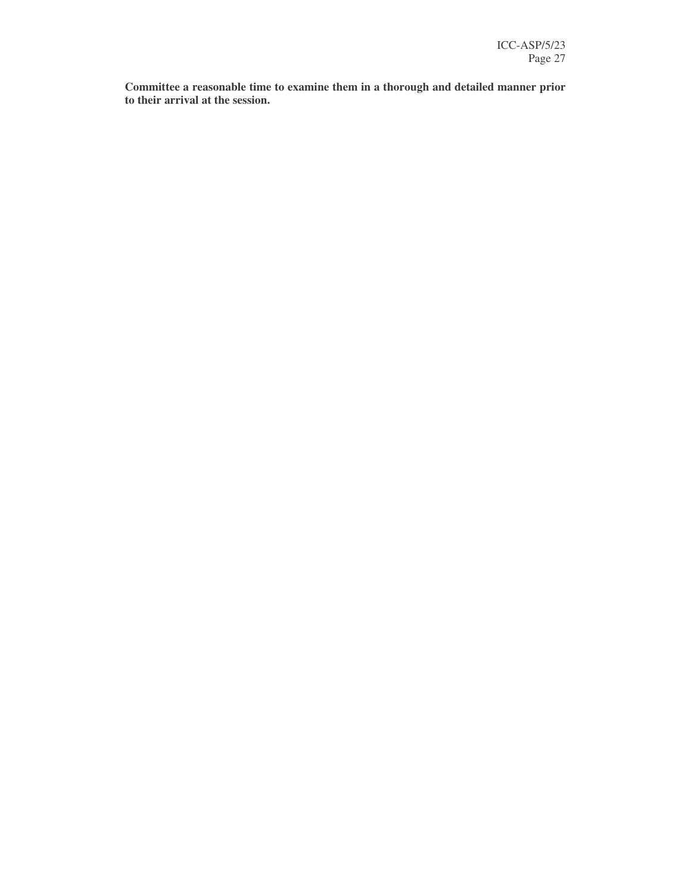**Committee a reasonable time to examine them in a thorough and detailed manner prior to their arrival at the session.**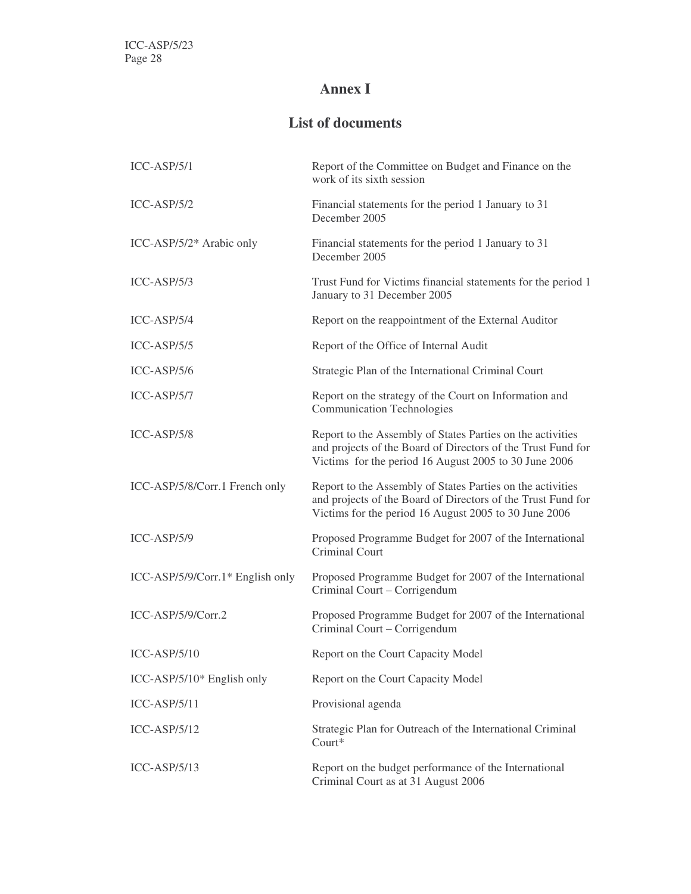# **Annex I**

# **List of documents**

| $ICC-ASP/5/1$                    | Report of the Committee on Budget and Finance on the<br>work of its sixth session                                                                                                   |
|----------------------------------|-------------------------------------------------------------------------------------------------------------------------------------------------------------------------------------|
| $ICC-ASP/5/2$                    | Financial statements for the period 1 January to 31<br>December 2005                                                                                                                |
| ICC-ASP/5/2* Arabic only         | Financial statements for the period 1 January to 31<br>December 2005                                                                                                                |
| $ICC-ASP/5/3$                    | Trust Fund for Victims financial statements for the period 1<br>January to 31 December 2005                                                                                         |
| $ICC-ASP/5/4$                    | Report on the reappointment of the External Auditor                                                                                                                                 |
| $ICC-ASP/5/5$                    | Report of the Office of Internal Audit                                                                                                                                              |
| $ICC-ASP/5/6$                    | Strategic Plan of the International Criminal Court                                                                                                                                  |
| $ICC-ASP/5/7$                    | Report on the strategy of the Court on Information and<br><b>Communication Technologies</b>                                                                                         |
| $ICC-ASP/5/8$                    | Report to the Assembly of States Parties on the activities<br>and projects of the Board of Directors of the Trust Fund for<br>Victims for the period 16 August 2005 to 30 June 2006 |
| ICC-ASP/5/8/Corr.1 French only   | Report to the Assembly of States Parties on the activities<br>and projects of the Board of Directors of the Trust Fund for<br>Victims for the period 16 August 2005 to 30 June 2006 |
| $ICC-ASP/5/9$                    | Proposed Programme Budget for 2007 of the International<br>Criminal Court                                                                                                           |
| ICC-ASP/5/9/Corr.1* English only | Proposed Programme Budget for 2007 of the International<br>Criminal Court - Corrigendum                                                                                             |
| ICC-ASP/5/9/Corr.2               | Proposed Programme Budget for 2007 of the International<br>Criminal Court – Corrigendum                                                                                             |
| $ICC-ASP/5/10$                   | Report on the Court Capacity Model                                                                                                                                                  |
| ICC-ASP/5/10* English only       | Report on the Court Capacity Model                                                                                                                                                  |
| $ICC-ASP/5/11$                   | Provisional agenda                                                                                                                                                                  |
| $ICC-ASP/5/12$                   | Strategic Plan for Outreach of the International Criminal<br>Court*                                                                                                                 |
| $ICC-ASP/5/13$                   | Report on the budget performance of the International<br>Criminal Court as at 31 August 2006                                                                                        |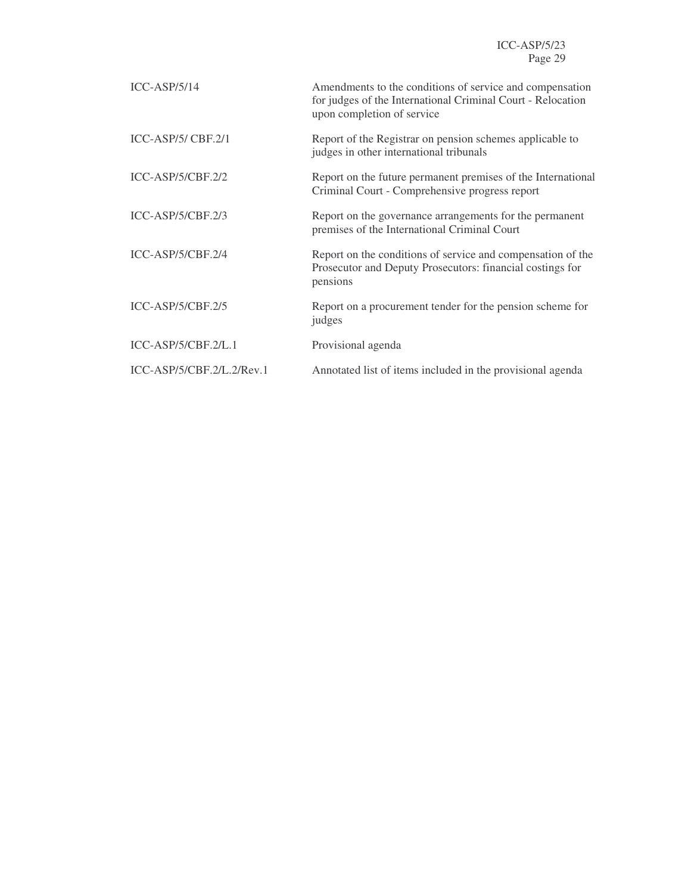| $ICC-ASP/5/14$              | Amendments to the conditions of service and compensation<br>for judges of the International Criminal Court - Relocation<br>upon completion of service |
|-----------------------------|-------------------------------------------------------------------------------------------------------------------------------------------------------|
| $ICC-ASP/5/CBF.2/1$         | Report of the Registrar on pension schemes applicable to<br>judges in other international tribunals                                                   |
| ICC-ASP/5/CBF.2/2           | Report on the future permanent premises of the International<br>Criminal Court - Comprehensive progress report                                        |
| $ICC-ASP/5/CBF.2/3$         | Report on the governance arrangements for the permanent<br>premises of the International Criminal Court                                               |
| $ICC-ASP/5/CBF.2/4$         | Report on the conditions of service and compensation of the<br>Prosecutor and Deputy Prosecutors: financial costings for<br>pensions                  |
| $ICC-ASP/5/CBF.2/5$         | Report on a procurement tender for the pension scheme for<br>judges                                                                                   |
| ICC-ASP/5/CBF.2/L.1         | Provisional agenda                                                                                                                                    |
| $ICC-ASP/5/CBF.2/L.2/Rev.1$ | Annotated list of items included in the provisional agenda                                                                                            |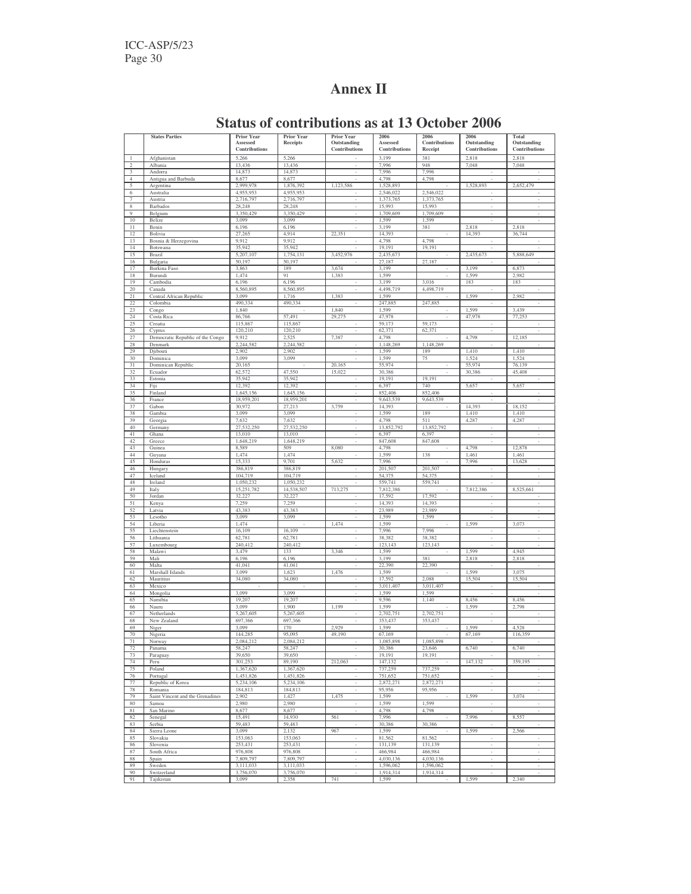# **Annex II**

|                       | <b>States Parties</b>                       | <b>Prior Year</b><br>Assessed | Prior Year           | <b>Prior Year</b><br>Outstanding | 2006                             | 2006<br>Contributions | 2006<br>Outstanding      | Total<br>Outstanding     |
|-----------------------|---------------------------------------------|-------------------------------|----------------------|----------------------------------|----------------------------------|-----------------------|--------------------------|--------------------------|
|                       |                                             | <b>Contributions</b>          | Receipts             | Contributions                    | Assessed<br><b>Contributions</b> | Receipt               | Contributions            | Contributions            |
|                       | Afghanistan                                 | 5,266                         | 5,266                |                                  | 3,199                            | 381                   | 2,818                    | 2,818                    |
| $\mathfrak{D}$        | Albania                                     | 13,436                        | 13,436               |                                  | 7,996                            | 948                   | 7,048                    | 7,048                    |
| 3                     | Andorra                                     | 14,873                        | 14,873               |                                  | 7,996                            | 7,996                 |                          |                          |
| $\overline{4}$        | Antigua and Barbuda                         | 8,677                         | 8,677                |                                  | 4,798                            | 4,798                 |                          |                          |
| 5                     | Argentina                                   | 2,999,978                     | 1,876,392            | 1,123,586                        | 1,528,893                        |                       | 1,528,893                | 2,652,479                |
| 6                     | Australia                                   | 4.955.953                     | 4,955,953            |                                  | 2.546.022                        | 2,546,022             |                          |                          |
| $\overline{7}$        | Austria                                     | 2,716,797                     | 2,716,797            |                                  | 1,373,765                        | 1,373,765             |                          |                          |
| 8<br>9                | Barbados                                    | 28,248<br>3,350,429           | 28,248<br>3,350,429  | $\overline{\phantom{a}}$         | 15,993<br>1,709,609              | 15,993<br>1,709,609   | ÷.                       | ÷                        |
| 10                    | Belgium<br>Belize                           | 3,099                         | 3,099                |                                  | 1,599                            | 1,599                 |                          |                          |
| 11                    | Benin                                       | 6,196                         | 6,196                |                                  | 3,199                            | 381                   | 2,818                    | 2,818                    |
| 12                    | Bolivia                                     | 27,265                        | 4,914                | 22,351                           | 14,393                           |                       | 14,393                   | 36,744                   |
| 13                    | Bosnia & Herzegovina                        | 9,912                         | 9,912                |                                  | 4,798                            | 4,798                 |                          |                          |
| 14                    | Botswana                                    | 35,942                        | 35,942               |                                  | 19,191                           | 19,191                |                          |                          |
| 15                    | Brazil                                      | 5,207,107                     | 1,754,131            | 3,452,976                        | 2,435,673                        |                       | 2,435,673                | 5,888,649                |
| 16                    | Bulgaria                                    | 50,197                        | 50,197               |                                  | 27,187                           | 27,187                |                          |                          |
| 17                    | <b>Burkina</b> Faso                         | 3,863                         | 189                  | 3,674                            | 3,199                            |                       | 3,199                    | 6,873                    |
| 18<br>19              | Burundi<br>Cambodia                         | 1,474<br>6,196                | 91<br>6,196          | 1,383                            | 1,599<br>3,199                   | 3,016                 | 1,599<br>183             | 2,982<br>183             |
| 20                    | Canada                                      | 8,560,895                     | 8,560,895            | $\overline{\phantom{a}}$         | 4,498,719                        | 4,498,719             |                          |                          |
| 21                    | Central African Republic                    | 3,099                         | 1,716                | 1,383                            | 1,599                            |                       | 1,599                    | 2,982                    |
| 22                    | Colombia                                    | 490,334                       | 490,334              | $\sim$                           | 247,885                          | 247,885               | $\overline{\phantom{a}}$ | ٠                        |
| 23                    | Congo                                       | 1,840                         |                      | 1,840                            | 1,599                            |                       | 1,599                    | 3,439                    |
| 24                    | Costa Rica                                  | 86,766                        | 57,491               | 29,275                           | 47,978                           | ٠                     | 47,978                   | 77,253                   |
| 25                    | Croatia                                     | 115,867                       | 115,867              | ÷                                | 59,173                           | 59,173                | ٠                        |                          |
| 26                    | Cyprus                                      | 120,210                       | 120,210              | ×,                               | 62,371                           | 62,371                | ×,                       |                          |
| 27<br>28              | Democratic Republic of the Congo<br>Denmark | 9,912<br>2,244,582            | 2,525<br>2,244,582   | 7,387                            | 4,798<br>1,148,269               | 1,148,269             | 4,798                    | 12,185                   |
| 29                    | Djibouti                                    | 2,902                         | 2,902                |                                  | 1,599                            | 189                   | 1,410                    | 1,410                    |
| 30                    | Dominica                                    | 3,099                         | 3,099                |                                  | 1,599                            | 75                    | 1,524                    | 1,524                    |
| 31                    | Dominican Republic                          | 20,165                        |                      | 20,165                           | 55,974                           |                       | 55,974                   | 76,139                   |
| 32                    | Ecuador                                     | 62,572                        | 47,550               | 15,022                           | 30,386                           |                       | 30,386                   | 45,408                   |
| 33                    | Estonia                                     | 35,942                        | 35,942               |                                  | 19,191                           | 19,191                |                          |                          |
| 34                    | Fiji                                        | 12,392                        | 12,392               |                                  | 6,397                            | 740                   | 5,657                    | 5,657                    |
| 35                    | Finland                                     | 1,645,156                     | 1,645,156            |                                  | 852,406                          | 852,406               |                          |                          |
| 36                    | France                                      | 18,959,201                    | 18,959,201           |                                  | 9,643,539                        | 9,643,539             |                          |                          |
| 37<br>$\overline{38}$ | Gabon                                       | 30,972                        | 27,213               | 3,759                            | 14,393                           |                       | 14,393                   | 18,152                   |
| 39                    | Gambia                                      | 3,099<br>7,632                | 3,099<br>7,632       |                                  | 1,599<br>4,798                   | 189<br>511            | 1,410<br>4,287           | 1,410<br>4,287           |
| 40                    | Georgia<br>Germany                          | 27,532,250                    | 27,532,250           |                                  | 13,852,792                       | 13,852,792            |                          |                          |
| 41                    | Ghana                                       | 13,010                        | 13,010               |                                  | 6,397                            | 6,397                 |                          |                          |
| 42                    | Greece                                      | 1,648,219                     | 1,648,219            |                                  | 847,608                          | 847,608               |                          |                          |
| 43                    | Guinea                                      | 8,589                         | 509                  | 8,080                            | 4,798                            |                       | 4,798                    | 12,878                   |
| 44                    | Guyana                                      | 1,474                         | 1,474                |                                  | 1,599                            | 138                   | 1,461                    | 1,461                    |
| 45                    | Honduras                                    | 15,333                        | 9,701                | 5,632                            | 7,996                            |                       | 7,996                    | 13,628                   |
| 46                    | Hungary                                     | 386,819                       | 386,819              | $\overline{\phantom{a}}$         | 201,507                          | 201,507               | $\overline{\phantom{a}}$ | $\overline{\phantom{a}}$ |
| 47                    | Iceland                                     | 104,719                       | 104,719              | $\overline{\phantom{a}}$         | 54,375                           | 54,375                | $\overline{\phantom{a}}$ | $\overline{\phantom{a}}$ |
| 48<br>49              | Ireland                                     | 1,050,232                     | 1,050,232            | $\sim$                           | 559,741                          | 559,741               | ٠                        | ٠                        |
| 50                    | Italy<br>Jordan                             | 15,251,782<br>32,227          | 14,538,507<br>32,227 | 713,275<br>÷                     | 7,812,386<br>17,592              | 17,592                | 7,812,386                | 8,525,661                |
| 51                    | Kenya                                       | 7,259                         | 7,259                | $\overline{\phantom{a}}$         | 14,393                           | 14,393                | $\sim$                   | $\overline{\phantom{a}}$ |
| 52                    | Latvia                                      | 43,383                        | 43,383               |                                  | 23,989                           | 23,989                |                          |                          |
| 53                    | Lesotho                                     | 3,099                         | 3,099                |                                  | 1,599                            | 1,599                 |                          |                          |
| 54                    | Liberia                                     | 1,474                         |                      | 1,474                            | 1,599                            |                       | 1,599                    | 3,073                    |
| 55                    | Liechtenstein                               | 16,109                        | 16,109               |                                  | 7,996                            | 7,996                 |                          |                          |
| 56                    | Lithuania                                   | 62,781                        | 62,781               |                                  | 38,382                           | 38,382                |                          |                          |
| 57                    | Luxembourg                                  | 240,412                       | 240,412              |                                  | 123,143                          | 123,143               |                          |                          |
| 58                    | Malawi                                      | 3,479                         | 133                  | 3,346                            | 1,599                            |                       | 1,599                    | 4,945                    |
| 59<br>60              | Mali<br>Malta                               | 6,196<br>41,041               | 6,196<br>41,041      | ×,                               | 3,199<br>22,390                  | 381<br>22,390         | 2,818                    | 2,818                    |
| 61                    | Marshall Islands                            | 3,099                         | 1,623                | 1,476                            | 1,599                            |                       | 1,599                    | 3,075                    |
| 62                    | Mauritius                                   | 34,080                        | 34,080               |                                  | 17,592                           | 2,088                 | 15,504                   | 15,504                   |
| 63                    | Mexico                                      |                               |                      |                                  | 3,011,407                        | 3,011,407             |                          |                          |
| 64                    | Mongolia                                    | 3,099                         | 3,099                |                                  | 1,599                            | 1,599                 |                          |                          |
| 65                    | Namibia                                     | 19,207                        | 19,207               |                                  | 9,596                            | 1,140                 | 8,456                    | 8,456                    |
| 66                    | Nauru                                       | 3,099                         | 1,900                | 1,199                            | 1,599                            |                       | 1,599                    | 2,798                    |
| 67                    | Netherlands                                 | 5,267,605                     | 5,267,605            |                                  | 2,702,751                        | 2,702,751             |                          |                          |
| 68                    | New Zealand                                 | 697.366                       | 697,366              |                                  | 353,437                          | 353,437               |                          |                          |
| 69<br>70              | Niger                                       | 3,099<br>144,285              | 170<br>95,095        | 2,929<br>49,190                  | 1,599<br>67,169                  |                       | 1,599<br>67,169          | 4,528<br>116,359         |
| 71                    | Nigeria                                     |                               | 2,084,21             |                                  |                                  |                       |                          |                          |
| 72                    | Norway<br>Panama                            | ,084,21<br>58,247             | 58,247               | $\overline{\phantom{a}}$         | 1,085,898<br>30,386              | 1,085,898<br>23,646   | 6,740                    | 6,740                    |
| 73                    | Paraguay                                    | 39,650                        | 39,650               | $\overline{\phantom{a}}$         | 19,191                           | 19,191                |                          | $\overline{\phantom{m}}$ |
| 74                    | Peru                                        | 301,253                       | 89,190               | 212,063                          | 147,132                          |                       | 147,132                  | 359,195                  |
| 75                    | Poland                                      | 1,367,620                     | 1,367,620            | $\overline{\phantom{a}}$         | 737,259                          | 737,259               | $\overline{\phantom{a}}$ | $\overline{\phantom{a}}$ |
| 76                    | Portugal                                    | 1,451,826                     | 1,451,826            | $\overline{\phantom{a}}$         | 751,652                          | 751,652               | $\overline{\phantom{a}}$ | $\overline{\phantom{a}}$ |
| 77                    | Republic of Korea                           | 5,234,106                     | 5,234,106            | $\sim$                           | 2,872,271                        | 2,872,271             | $\overline{\phantom{a}}$ | $\overline{\phantom{a}}$ |
| 78                    | Romania                                     | 184,813                       | 184,813              | $\overline{\phantom{a}}$         | 95,956                           | 95,956                | $\overline{\phantom{a}}$ | $\overline{\phantom{a}}$ |
| 79                    | Saint Vincent and the Grenadines            | 2,902                         | 1,427                | 1,475                            | 1,599                            |                       | 1,599                    | 3,074                    |
| $80\,$<br>81          | Samoa                                       | 2,980<br>8,677                | 2,980<br>8,677       | ÷,                               | 1,599<br>4,798                   | 1,599                 | $\overline{\phantom{a}}$ |                          |
| 82                    | San Marino<br>Senegal                       | 15,491                        | 14,930               | 561                              | 7,996                            | 4,798                 | 7,996                    | 8,557                    |
| 83                    | Serbia                                      | 59,483                        | 59,483               |                                  | 30,386                           | 30,386                |                          |                          |
| 84                    | Sierra Leone                                | 3,099                         | 2,132                | 967                              | 1,599                            |                       | 1,599                    | 2,566                    |
| 85                    | Slovakia                                    | 153,063                       | 153,063              | $\overline{\phantom{a}}$         | 81,562                           | 81,562                | ٠                        | ÷,                       |
| 86                    | Slovenia                                    | 253,431                       | 253,431              | J.                               | 131,139                          | 131,139               | ٠                        | ÷,                       |
| 87                    | South Africa                                | 976,808                       | 976,808              | $\overline{\phantom{a}}$         | 466,984                          | 466,984               | ٠                        | ٠                        |
| 88                    | Spain                                       | 7,809,797                     | 7,809,797            | ÷.                               | 4,030,136                        | 4,030,136             | ٠                        | ÷,                       |
| 89                    | Sweden                                      | 3,111,033                     | 3,111,033            | ÷.                               | 1,596,062                        | 1,596,062             | ÷                        | ÷                        |
| 90                    | Switzerland                                 | 3,756,070                     | 3,756,070            |                                  | 1,914,314                        | 1,914,314             |                          | ÷.                       |
| 91                    | Tajikistan                                  | 3,099                         | 2,358                | 741                              | 1,599                            |                       | 1,599                    | 2,340                    |

# **Status of contributions as at 13 October 2006**